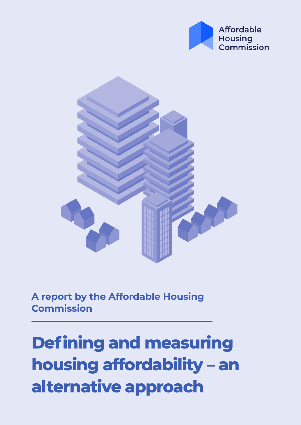



**A report by the Affordable Housing Commission**

**Defining and measuring housing affordability – an alternative approach**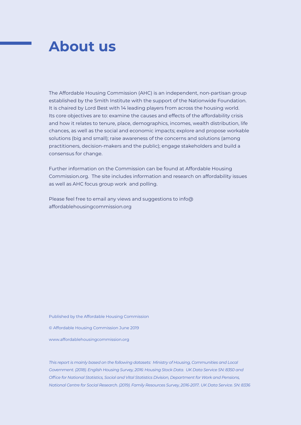# **About us**

The Affordable Housing Commission (AHC) is an independent, non-partisan group established by the Smith Institute with the support of the Nationwide Foundation. It is chaired by Lord Best with 14 leading players from across the housing world. Its core objectives are to: examine the causes and effects of the affordability crisis and how it relates to tenure, place, demographics, incomes, wealth distribution, life chances, as well as the social and economic impacts; explore and propose workable solutions (big and small); raise awareness of the concerns and solutions (among practitioners, decision-makers and the public); engage stakeholders and build a consensus for change.

Further information on the Commission can be found at Affordable Housing Commission.org. The site includes information and research on affordability issues as well as AHC focus group work and polling.

Please feel free to email any views and suggestions to info@ affordablehousingcommission.org

Published by the Affordable Housing Commission

© Affordable Housing Commission June 2019

www.affordablehousingcommission.org

*This report is mainly based on the following datasets: Ministry of Housing, Communities and Local Government. (2018). English Housing Survey, 2016: Housing Stock Data. UK Data Service SN: 8350 and Office for National Statistics, Social and Vital Statistics Division, Department for Work and Pensions, National Centre for Social Research. (2019). Family Resources Survey, 2016-2017.. UK Data Service. SN: 8336*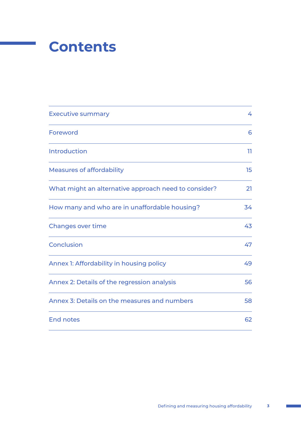

| <b>Executive summary</b>                             | 4  |
|------------------------------------------------------|----|
| Foreword                                             | 6  |
| <b>Introduction</b>                                  | 11 |
| <b>Measures of affordability</b>                     | 15 |
| What might an alternative approach need to consider? | 21 |
| How many and who are in unaffordable housing?        | 34 |
| <b>Changes over time</b>                             | 43 |
| Conclusion                                           | 47 |
| Annex 1: Affordability in housing policy             | 49 |
| Annex 2: Details of the regression analysis          | 56 |
| Annex 3: Details on the measures and numbers         | 58 |
| <b>End notes</b>                                     | 62 |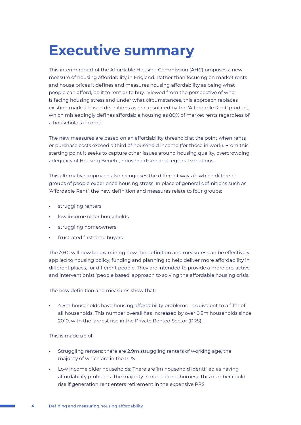# **Executive summary**

This interim report of the Affordable Housing Commission (AHC) proposes a new measure of housing affordability in England. Rather than focusing on market rents and house prices it defines and measures housing affordability as being what people can afford, be it to rent or to buy. Viewed from the perspective of who is facing housing stress and under what circumstances, this approach replaces existing market-based definitions as encapsulated by the 'Affordable Rent' product, which misleadingly defines affordable housing as 80% of market rents regardless of a household's income.

The new measures are based on an affordability threshold at the point when rents or purchase costs exceed a third of household income (for those in work). From this starting point it seeks to capture other issues around housing quality, overcrowding, adequacy of Housing Benefit, household size and regional variations.

This alternative approach also recognises the different ways in which different groups of people experience housing stress. In place of general definitions such as 'Affordable Rent', the new definition and measures relate to four groups:

- **•** struggling renters
- **•** low income older households
- **•** struggling homeowners
- **•** frustrated first time buyers

The AHC will now be examining how the definition and measures can be effectively applied to housing policy, funding and planning to help deliver more affordability in different places, for different people. They are intended to provide a more pro-active and interventionist 'people based' approach to solving the affordable housing crisis.

The new definition and measures show that:

**•** 4.8m households have housing affordability problems – equivalent to a fifth of all households. This number overall has increased by over 0.5m households since 2010, with the largest rise in the Private Rented Sector (PRS)

This is made up of:

- **•** Struggling renters: there are 2.9m struggling renters of working age, the majority of which are in the PRS
- **•** Low income older households: There are 1m household identified as having affordability problems (the majority in non-decent homes). This number could rise if generation rent enters retirement in the expensive PRS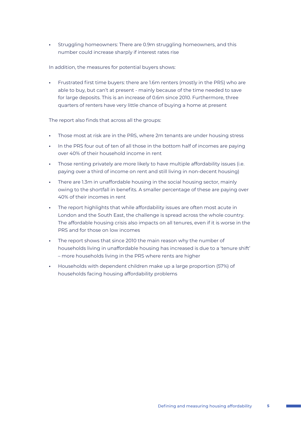**•** Struggling homeowners: There are 0.9m struggling homeowners, and this number could increase sharply if interest rates rise

In addition, the measures for potential buyers shows:

**•** Frustrated first time buyers: there are 1.6m renters (mostly in the PRS) who are able to buy, but can't at present - mainly because of the time needed to save for large deposits. This is an increase of 0.6m since 2010. Furthermore, three quarters of renters have very little chance of buying a home at present

The report also finds that across all the groups:

- **•** Those most at risk are in the PRS, where 2m tenants are under housing stress
- **•** In the PRS four out of ten of all those in the bottom half of incomes are paying over 40% of their household income in rent
- **•** Those renting privately are more likely to have multiple affordability issues (i.e. paying over a third of income on rent and still living in non-decent housing)
- **•** There are 1.3m in unaffordable housing in the social housing sector, mainly owing to the shortfall in benefits. A smaller percentage of these are paying over 40% of their incomes in rent
- **•** The report highlights that while affordability issues are often most acute in London and the South East, the challenge is spread across the whole country. The affordable housing crisis also impacts on all tenures, even if it is worse in the PRS and for those on low incomes
- **•** The report shows that since 2010 the main reason why the number of households living in unaffordable housing has increased is due to a 'tenure shift' – more households living in the PRS where rents are higher
- **•** Households with dependent children make up a large proportion (57%) of households facing housing affordability problems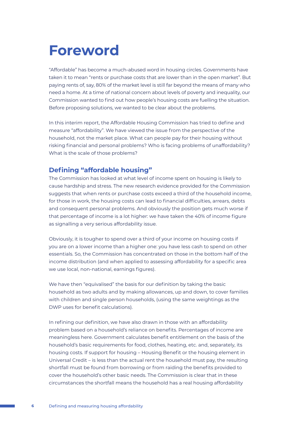# **Foreword**

"Affordable" has become a much-abused word in housing circles. Governments have taken it to mean "rents or purchase costs that are lower than in the open market". But paying rents of, say, 80% of the market level is still far beyond the means of many who need a home. At a time of national concern about levels of poverty and inequality, our Commission wanted to find out how people's housing costs are fuelling the situation. Before proposing solutions, we wanted to be clear about the problems.

In this interim report, the Affordable Housing Commission has tried to define and measure "affordability". We have viewed the issue from the perspective of the household, not the market place. What can people pay for their housing without risking financial and personal problems? Who is facing problems of unaffordability? What is the scale of those problems?

## **Defining "affordable housing"**

The Commission has looked at what level of income spent on housing is likely to cause hardship and stress. The new research evidence provided for the Commission suggests that when rents or purchase costs exceed a third of the household income, for those in work, the housing costs can lead to financial difficulties, arrears, debts and consequent personal problems. And obviously the position gets much worse if that percentage of income is a lot higher: we have taken the 40% of income figure as signalling a very serious affordability issue.

Obviously, it is tougher to spend over a third of your income on housing costs if you are on a lower income than a higher one: you have less cash to spend on other essentials. So, the Commission has concentrated on those in the bottom half of the income distribution (and when applied to assessing affordability for a specific area we use local, non-national, earnings figures).

We have then "equivalised" the basis for our definition by taking the basic household as two adults and by making allowances, up and down, to cover families with children and single person households, (using the same weightings as the DWP uses for benefit calculations).

In refining our definition, we have also drawn in those with an affordability problem based on a household's reliance on benefits. Percentages of income are meaningless here. Government calculates benefit entitlement on the basis of the household's basic requirements for food, clothes, heating, etc. and, separately, its housing costs. If support for housing – Housing Benefit or the housing element in Universal Credit – is less than the actual rent the household must pay, the resulting shortfall must be found from borrowing or from raiding the benefits provided to cover the household's other basic needs. The Commission is clear that in these circumstances the shortfall means the household has a real housing affordability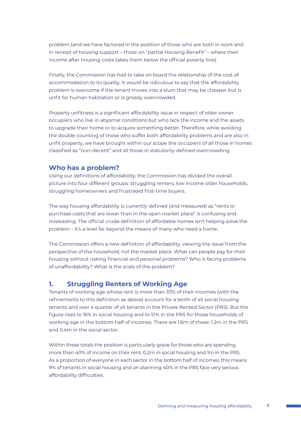problem (and we have factored in the position of those who are both in work and in receipt of housing support – those on "partial Housing Benefit" – where their income after housing costs takes them below the official poverty line).

Finally, the Commission has had to take on board the relationship of the cost of accommodation to its quality. It would be ridiculous to say that the affordability problem is overcome if the tenant moves into a slum that may be cheaper but is unfit for human habitation or is grossly overcrowded.

Property unfitness is a significant affordability issue in respect of older owner occupiers who live in abysmal conditions but who lack the income and the assets to upgrade their home or to acquire something better. Therefore, while avoiding the double counting of those who suffer both affordability problems and are also in unfit property, we have brought within our scope the occupiers of all those in homes classified as "non-decent" and all those in statutorily-defined overcrowding.

### **Who has a problem?**

Using our definitions of affordability, the Commission has divided the overall picture into four different groups: struggling renters, low income older households, struggling homeowners and frustrated first-time buyers.

The way housing affordability is currently defined (and measured) as "rents or purchase costs that are lower than in the open market place" is confusing and misleading. The official crude definition of affordable homes isn't helping solve the problem – it's a level far beyond the means of many who need a home.

The Commission offers a new definition of affordability, viewing the issue from the perspective of the household, not the market place. What can people pay for their housing without risking financial and personal problems? Who is facing problems of unaffordability? What is the scale of the problem?

### **1. Struggling Renters of Working Age**

Tenants of working age whose rent is more than 33% of their incomes (with the refinements to this definition as above) account for a tenth of all social housing tenants and over a quarter of all tenants in the Private Rented Sector (PRS). But the figure rises to 16% in social housing and to 51% in the PRS for those households of working age in the bottom half of incomes. There are 1.6m of these: 1.2m in the PRS and 0.4m in the social sector.

Within these totals the position is particularly grave for those who are spending more than 40% of income on their rent: 0.2m in social housing and 1m in the PRS. As a proportion of everyone in each sector in the bottom half of incomes, this means 9% of tenants in social housing and an alarming 40% in the PRS face very serious affordability difficulties.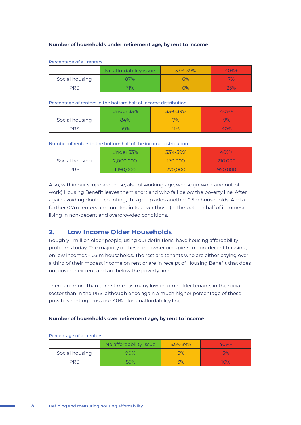#### **Number of households under retirement age, by rent to income**

|                | No affordability issue | 33%-39% | $40% +$ |
|----------------|------------------------|---------|---------|
| Social housing | 87%                    | 6%      | 7%      |
| <b>PRS</b>     | 71%                    | 6%      | 23%     |

#### Percentage of all renters

#### Percentage of renters in the bottom half of income distribution

|                | Under 33% | 33%-39%    | $40% +$ |
|----------------|-----------|------------|---------|
| Social housing | 84%       | 7%         | 9%      |
| <b>PRS</b>     | 49%       | <b>17%</b> | 40%     |

#### Number of renters in the bottom half of the income distribution

|                | Under 33% | 33%-39% | $40%+$  |
|----------------|-----------|---------|---------|
| Social housing | 2.000.000 | 170,000 | 210,000 |
| <b>PRS</b>     | 1,190,000 | 270,000 | 950,000 |

Also, within our scope are those, also of working age, whose (in-work and out-ofwork) Housing Benefit leaves them short and who fall below the poverty line. After again avoiding double counting, this group adds another 0.5m households. And a further 0.7m renters are counted in to cover those (in the bottom half of incomes) living in non-decent and overcrowded conditions.

### **2. Low Income Older Households**

Roughly 1 million older people, using our definitions, have housing affordability problems today. The majority of these are owner occupiers in non-decent housing, on low incomes – 0.6m households. The rest are tenants who are either paying over a third of their modest income on rent or are in receipt of Housing Benefit that does not cover their rent and are below the poverty line.

There are more than three times as many low-income older tenants in the social sector than in the PRS, although once again a much higher percentage of those privately renting cross our 40% plus unaffordability line.

#### **Number of households over retirement age, by rent to income**

|                | No affordability issue | 33%-39% | $40%+$ |
|----------------|------------------------|---------|--------|
| Social housing | 90%                    | 5%      | 5%     |
| <b>PRS</b>     | 35%                    | Z0/.    | 10%    |

#### Percentage of all renters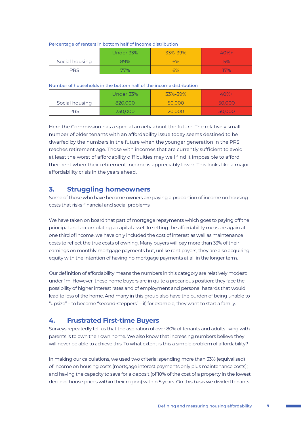#### Percentage of renters in bottom half of income distribution

|                | Under 33% | 33%-39% | $40% +$    |
|----------------|-----------|---------|------------|
| Social housing | 39%       | 6%      | 5%         |
| PRS            | 77%       | 6%      | $\nabla\%$ |

Number of households in the bottom half of the income distribution

|                | Under 33% | 33%-39% | $40%+$ |
|----------------|-----------|---------|--------|
| Social housing | 820.000   | 50,000  | 50,000 |
| <b>PRS</b>     | 230,000   | 20,000  | 50,000 |

Here the Commission has a special anxiety about the future. The relatively small number of older tenants with an affordability issue today seems destined to be dwarfed by the numbers in the future when the younger generation in the PRS reaches retirement age. Those with incomes that are currently sufficient to avoid at least the worst of affordability difficulties may well find it impossible to afford their rent when their retirement income is appreciably lower. This looks like a major affordability crisis in the years ahead.

## **3. Struggling homeowners**

Some of those who have become owners are paying a proportion of income on housing costs that risks financial and social problems.

We have taken on board that part of mortgage repayments which goes to paying off the principal and accumulating a capital asset. In setting the affordability measure again at one third of income, we have only included the cost of interest as well as maintenance costs to reflect the true costs of owning. Many buyers will pay more than 33% of their earnings on monthly mortgage payments but, unlike rent payers, they are also acquiring equity with the intention of having no mortgage payments at all in the longer term.

Our definition of affordability means the numbers in this category are relatively modest: under 1m. However, these home buyers are in quite a precarious position: they face the possibility of higher interest rates and of employment and personal hazards that would lead to loss of the home. And many in this group also have the burden of being unable to "upsize" – to become "second-steppers" – if, for example, they want to start a family.

## **4. Frustrated First-time Buyers**

Surveys repeatedly tell us that the aspiration of over 80% of tenants and adults living with parents is to own their own home. We also know that increasing numbers believe they will never be able to achieve this. To what extent is this a simple problem of affordability?

In making our calculations, we used two criteria: spending more than 33% (equivalised) of income on housing costs (mortgage interest payments only plus maintenance costs); and having the capacity to save for a deposit (of 10% of the cost of a property in the lowest decile of house prices within their region) within 5 years. On this basis we divided tenants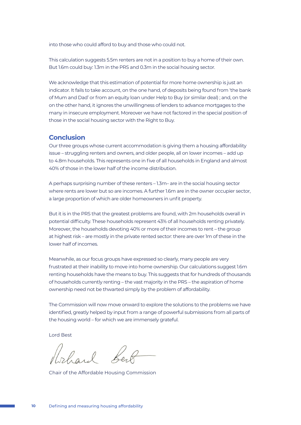into those who could afford to buy and those who could not.

This calculation suggests 5.5m renters are not in a position to buy a home of their own. But 1.6m could buy: 1.3m in the PRS and 0.3m in the social housing sector.

We acknowledge that this estimation of potential for more home ownership is just an indicator. It fails to take account, on the one hand, of deposits being found from 'the bank of Mum and Dad' or from an equity loan under Help to Buy (or similar deal) ; and, on the on the other hand, it ignores the unwillingness of lenders to advance mortgages to the many in insecure employment. Moreover we have not factored in the special position of those in the social housing sector with the Right to Buy.

### **Conclusion**

Our three groups whose current accommodation is giving them a housing affordability issue – struggling renters and owners, and older people, all on lower incomes – add up to 4.8m households. This represents one in five of all households in England and almost 40% of those in the lower half of the income distribution.

A perhaps surprising number of these renters – 1.3m– are in the social housing sector where rents are lower but so are incomes. A further 1.6m are in the owner occupier sector, a large proportion of which are older homeowners in unfit property.

But it is in the PRS that the greatest problems are found, with 2m households overall in potential difficulty. These households represent 43% of all households renting privately. Moreover, the households devoting 40% or more of their incomes to rent – the group at highest risk – are mostly in the private rented sector: there are over 1m of these in the lower half of incomes.

Meanwhile, as our focus groups have expressed so clearly, many people are very frustrated at their inability to move into home ownership. Our calculations suggest 1.6m renting households have the means to buy. This suggests that for hundreds of thousands of households currently renting – the vast majority in the PRS – the aspiration of home ownership need not be thwarted simply by the problem of affordability.

The Commission will now move onward to explore the solutions to the problems we have identified, greatly helped by input from a range of powerful submissions from all parts of the housing world – for which we are immensely grateful.

Lord Best

Rohard Ler

Chair of the Affordable Housing Commission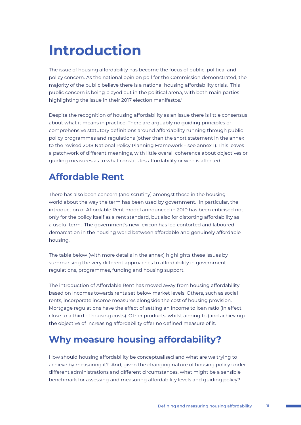# **Introduction**

The issue of housing affordability has become the focus of public, political and policy concern. As the national opinion poll for the Commission demonstrated, the majority of the public believe there is a national housing affordability crisis. This public concern is being played out in the political arena, with both main parties highlighting the issue in their 2017 election manifestos.<sup>1</sup>

Despite the recognition of housing affordability as an issue there is little consensus about what it means in practice. There are arguably no guiding principles or comprehensive statutory definitions around affordability running through public policy programmes and regulations (other than the short statement in the annex to the revised 2018 National Policy Planning Framework – see annex 1). This leaves a patchwork of different meanings, with little overall coherence about objectives or guiding measures as to what constitutes affordability or who is affected.

# **Affordable Rent**

There has also been concern (and scrutiny) amongst those in the housing world about the way the term has been used by government. In particular, the introduction of Affordable Rent model announced in 2010 has been criticised not only for the policy itself as a rent standard, but also for distorting affordability as a useful term. The government's new lexicon has led contorted and laboured demarcation in the housing world between affordable and genuinely affordable housing.

The table below (with more details in the annex) highlights these issues by summarising the very different approaches to affordability in government regulations, programmes, funding and housing support.

The introduction of Affordable Rent has moved away from housing affordability based on incomes towards rents set below market levels. Others, such as social rents, incorporate income measures alongside the cost of housing provision. Mortgage regulations have the effect of setting an income to loan ratio (in effect close to a third of housing costs). Other products, whilst aiming to (and achieving) the objective of increasing affordability offer no defined measure of it.

## **Why measure housing affordability?**

How should housing affordability be conceptualised and what are we trying to achieve by measuring it? And, given the changing nature of housing policy under different administrations and different circumstances, what might be a sensible benchmark for assessing and measuring affordability levels and guiding policy?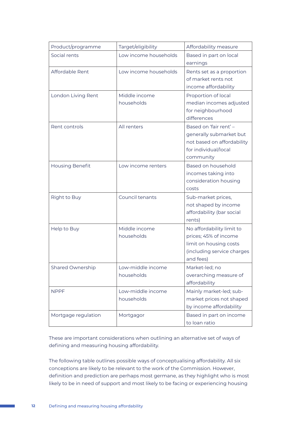| Product/programme       | Target/eligibility              | Affordability measure                                                                                                   |
|-------------------------|---------------------------------|-------------------------------------------------------------------------------------------------------------------------|
| Social rents            | Low income households           | Based in part on local<br>earnings                                                                                      |
| Affordable Rent         | Low income households           | Rents set as a proportion<br>of market rents not<br>income affordability                                                |
| London Living Rent      | Middle income<br>households     | Proportion of local<br>median incomes adjusted<br>for neighbourhood<br>differences                                      |
| Rent controls           | All renters                     | Based on 'fair rent' -<br>generally submarket but<br>not based on affordability<br>for individual/local<br>community    |
| <b>Housing Benefit</b>  | Low income renters              | Based on household<br>incomes taking into<br>consideration housing<br>costs                                             |
| Right to Buy            | Council tenants                 | Sub-market prices,<br>not shaped by income<br>affordability (bar social<br>rents)                                       |
| Help to Buy             | Middle income<br>households     | No affordability limit to<br>prices; 45% of income<br>limit on housing costs<br>(including service charges<br>and fees) |
| <b>Shared Ownership</b> | Low-middle income<br>households | Market-led; no<br>overarching measure of<br>affordability                                                               |
| <b>NPPF</b>             | Low-middle income<br>households | Mainly market-led; sub-<br>market prices not shaped<br>by income affordability                                          |
| Mortgage regulation     | Mortgagor                       | Based in part on income<br>to loan ratio                                                                                |

These are important considerations when outlining an alternative set of ways of defining and measuring housing affordability.

The following table outlines possible ways of conceptualising affordability. All six conceptions are likely to be relevant to the work of the Commission. However, definition and prediction are perhaps most germane, as they highlight who is most likely to be in need of support and most likely to be facing or experiencing housing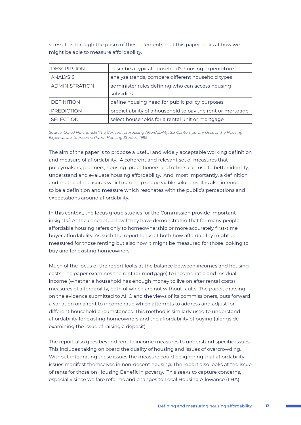stress. It is through the prism of these elements that this paper looks at how we might be able to measure affordability.

| <b>DESCRIPTION</b>    | describe a typical household's housing expenditure            |
|-----------------------|---------------------------------------------------------------|
| <b>ANALYSIS</b>       | analyse trends, compare different household types             |
| <b>ADMINISTRATION</b> | administer rules defining who can access housing<br>subsidies |
| <b>DEFINITION</b>     | define housing need for public policy purposes                |
| <b>PREDICTION</b>     | predict ability of a household to pay the rent or mortgage    |
| <b>SELECTION</b>      | select households for a rental unit or mortgage               |

*Source: David Hulchanski 'The Concept of Housing Affordability: Six Contemporary Uses of the Housing Expenditure-to-income Ratio', Housing Studies, 1995*

The aim of the paper is to propose a useful and widely acceptable working definition and measure of affordability. A coherent and relevant set of measures that policymakers, planners, housing practitioners and others can use to better identify, understand and evaluate housing affordability. And, most importantly, a definition and metric of measures which can help shape viable solutions. It is also intended to be a definition and measure which resonates with the public's perceptions and expectations around affordability.

In this context, the focus group studies for the Commission provide important insights.2 At the conceptual level they have demonstrated that for many people affordable housing refers only to homeownership or more accurately first-time buyer affordability. As such the report looks at both how affordability might be measured for those renting but also how it might be measured for those looking to buy and for existing homeowners.

Much of the focus of the report looks at the balance between incomes and housing costs. The paper examines the rent (or mortgage) to income ratio and residual income (whether a household has enough money to live on after rental costs) measures of affordability, both of which are not without faults. The paper, drawing on the evidence submitted to AHC and the views of its commissioners, puts forward a variation on a rent to income ratio which attempts to address and adjust for different household circumstances. This method is similarly used to understand affordability for existing homeowners and the affordability of buying (alongside examining the issue of raising a deposit).

The report also goes beyond rent to income measures to understand specific issues. This includes taking on board the quality of housing and issues of overcrowding. Without integrating these issues the measure could be ignoring that affordability issues manifest themselves in non-decent housing. The report also looks at the issue of rents for those on Housing Benefit in poverty. This seeks to capture concerns, especially since welfare reforms and changes to Local Housing Allowance (LHA)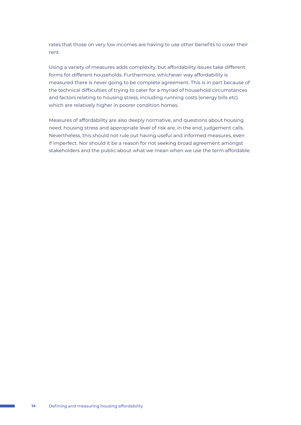rates that those on very low incomes are having to use other benefits to cover their rent.

Using a variety of measures adds complexity, but affordability issues take different forms for different households. Furthermore, whichever way affordability is measured there is never going to be complete agreement. This is in part because of the technical difficulties of trying to cater for a myriad of household circumstances and factors relating to housing stress, including running costs (energy bills etc) which are relatively higher in poorer condition homes.

Measures of affordability are also deeply normative, and questions about housing need, housing stress and appropriate level of risk are, in the end, judgement calls. Nevertheless, this should not rule out having useful and informed measures, even if imperfect. Nor should it be a reason for not seeking broad agreement amongst stakeholders and the public about what we mean when we use the term affordable.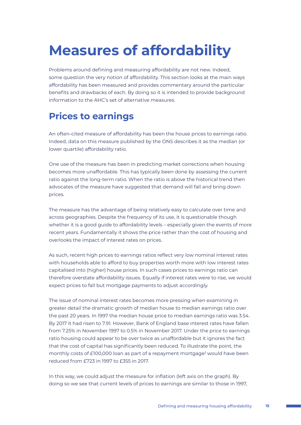# **Measures of affordability**

Problems around defining and measuring affordability are not new. Indeed, some question the very notion of affordability. This section looks at the main ways affordability has been measured and provides commentary around the particular benefits and drawbacks of each. By doing so it is intended to provide background information to the AHC's set of alternative measures.

# **Prices to earnings**

An often-cited measure of affordability has been the house prices to earnings ratio. Indeed, data on this measure published by the ONS describes it as the median (or lower quartile) affordability ratio.

One use of the measure has been in predicting market corrections when housing becomes more unaffordable. This has typically been done by assessing the current ratio against the long-term ratio. When the ratio is above the historical trend then advocates of the measure have suggested that demand will fall and bring down prices.

The measure has the advantage of being relatively easy to calculate over time and across geographies. Despite the frequency of its use, it is questionable though whether it is a good guide to affordability levels – especially given the events of more recent years. Fundamentally it shows the price rather than the cost of housing and overlooks the impact of interest rates on prices.

As such, recent high prices to earnings ratios reflect very low nominal interest rates with households able to afford to buy properties worth more with low interest rates capitalised into (higher) house prices. In such cases prices to earnings ratio can therefore overstate affordability issues. Equally if interest rates were to rise, we would expect prices to fall but mortgage payments to adjust accordingly.

The issue of nominal interest rates becomes more pressing when examining in greater detail the dramatic growth of median house to median earnings ratio over the past 20 years. In 1997 the median house price to median earnings ratio was 3.54. By 2017 it had risen to 7.91. However, Bank of England base interest rates have fallen from 7.25% in November 1997 to 0.5% in November 2017. Under the price to earnings ratio housing could appear to be over twice as unaffordable but it ignores the fact that the cost of capital has significantly been reduced. To illustrate the point, the monthly costs of £100,000 loan as part of a repayment mortgage<sup>3</sup> would have been reduced from £723 in 1997 to £355 in 2017.

In this way, we could adjust the measure for inflation (left axis on the graph). By doing so we see that current levels of prices to earnings are similar to those in 1997,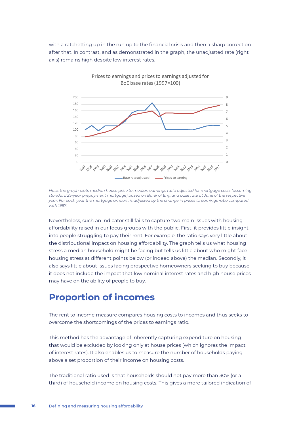with a ratchetting up in the run up to the financial crisis and then a sharp correction after that. In contrast, and as demonstrated in the graph, the unadjusted rate (right axis) remains high despite low interest rates.

Prices to earnings and prices to earnings adjusted for



*Note: the graph plots median house price to median earnings ratio adjusted for mortgage costs (assuming standard 25-year prepayment mortgage) based on Bank of England base rate at June of the respective year. For each year the mortgage amount is adjusted by the change in prices to earnings ratio compared with 1997.*

Nevertheless, such an indicator still fails to capture two main issues with housing affordability raised in our focus groups with the public. First, it provides little insight into people struggling to pay their rent. For example, the ratio says very little about the distributional impact on housing affordability. The graph tells us what housing stress a median household might be facing but tells us little about who might face housing stress at different points below (or indeed above) the median. Secondly, it also says little about issues facing prospective homeowners seeking to buy because it does not include the impact that low nominal interest rates and high house prices may have on the ability of people to buy.

## **Proportion of incomes**

The rent to income measure compares housing costs to incomes and thus seeks to overcome the shortcomings of the prices to earnings ratio.

This method has the advantage of inherently capturing expenditure on housing that would be excluded by looking only at house prices (which ignores the impact of interest rates). It also enables us to measure the number of households paying above a set proportion of their income on housing costs.

The traditional ratio used is that households should not pay more than 30% (or a third) of household income on housing costs. This gives a more tailored indication of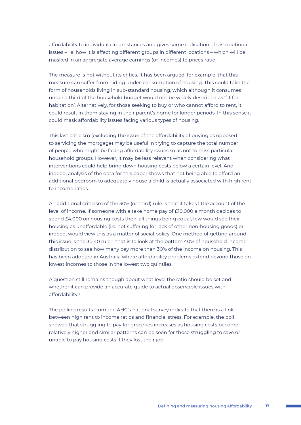affordability to individual circumstances and gives some indication of distributional issues – i.e. how it is affecting different groups in different locations – which will be masked in an aggregate average earnings (or incomes) to prices ratio.

The measure is not without its critics. It has been argued, for example, that this measure can suffer from hiding under-consumption of housing. This could take the form of households living in sub-standard housing, which although it consumes under a third of the household budget would not be widely described as 'fit for habitation'. Alternatively, for those seeking to buy or who cannot afford to rent, it could result in them staying in their parent's home for longer periods. In this sense it could mask affordability issues facing various types of housing.

This last criticism (excluding the issue of the affordability of buying as opposed to servicing the mortgage) may be useful in trying to capture the total number of people who might be facing affordability issues so as not to miss particular household groups. However, it may be less relevant when considering what interventions could help bring down housing costs below a certain level. And, indeed, analysis of the data for this paper shows that not being able to afford an additional bedroom to adequately house a child is actually associated with high rent to income ratios.

An additional criticism of the 30% (or third) rule is that it takes little account of the level of income. If someone with a take home pay of £10,000 a month decides to spend £4,000 on housing costs then, all things being equal, few would see their housing as unaffordable (i.e. not suffering for lack of other non-housing goods) or, indeed, would view this as a matter of social policy. One method of getting around this issue is the 30:40 rule – that is to look at the bottom 40% of household income distribution to see how many pay more than 30% of the income on housing. This has been adopted in Australia where affordability problems extend beyond those on lowest incomes to those in the lowest two quintiles.

A question still remains though about what level the ratio should be set and whether it can provide an accurate guide to actual observable issues with affordability?

The polling results from the AHC's national survey indicate that there is a link between high rent to income ratios and financial stress. For example, the poll showed that struggling to pay for groceries increases as housing costs become relatively higher and similar patterns can be seen for those struggling to save or unable to pay housing costs if they lost their job.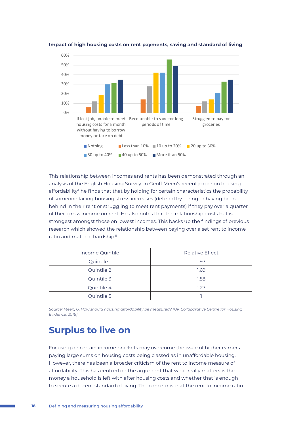

**Impact of high housing costs on rent payments, saving and standard of living**

This relationship between incomes and rents has been demonstrated through an analysis of the English Housing Survey. In Geoff Meen's recent paper on housing affordability<sup>4</sup> he finds that that by holding for certain characteristics the probability of someone facing housing stress increases (defined by: being or having been behind in their rent or struggling to meet rent payments) if they pay over a quarter of their gross income on rent. He also notes that the relationship exists but is strongest amongst those on lowest incomes. This backs up the findings of previous research which showed the relationship between paying over a set rent to income ratio and material hardship.5

| Income Quintile | <b>Relative Effect</b> |
|-----------------|------------------------|
| Quintile 1      | 1.97                   |
| Quintile 2      | 1.69                   |
| Quintile 3      | 1.58                   |
| Quintile 4      | 1.27                   |
| Quintile 5      |                        |

*Source: Meen, G, How should housing affordability be measured? (UK Collaborative Centre for Housing Evidence, 2018)*

## **Surplus to live on**

Focusing on certain income brackets may overcome the issue of higher earners paying large sums on housing costs being classed as in unaffordable housing. However, there has been a broader criticism of the rent to income measure of affordability. This has centred on the argument that what really matters is the money a household is left with after housing costs and whether that is enough to secure a decent standard of living. The concern is that the rent to income ratio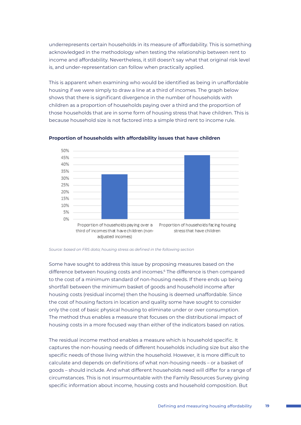underrepresents certain households in its measure of affordability. This is something acknowledged in the methodology when testing the relationship between rent to income and affordability. Nevertheless, it still doesn't say what that original risk level is, and under-representation can follow when practically applied.

This is apparent when examining who would be identified as being in unaffordable housing if we were simply to draw a line at a third of incomes. The graph below shows that there is significant divergence in the number of households with children as a proportion of households paying over a third and the proportion of those households that are in some form of housing stress that have children. This is because household size is not factored into a simple third rent to income rule.



#### **Proportion of households with affordability issues that have children**

*Source: based on FRS data; housing stress as defined in the following section*

Some have sought to address this issue by proposing measures based on the difference between housing costs and incomes.6 The difference is then compared to the cost of a minimum standard of non-housing needs. If there ends up being shortfall between the minimum basket of goods and household income after housing costs (residual income) then the housing is deemed unaffordable. Since the cost of housing factors in location and quality some have sought to consider only the cost of basic physical housing to eliminate under or over consumption. The method thus enables a measure that focuses on the distributional impact of housing costs in a more focused way than either of the indicators based on ratios.

The residual income method enables a measure which is household specific. It captures the non-housing needs of different households including size but also the specific needs of those living within the household. However, it is more difficult to calculate and depends on definitions of what non-housing needs – or a basket of goods – should include. And what different households need will differ for a range of circumstances. This is not insurmountable with the Family Resources Survey giving specific information about income, housing costs and household composition. But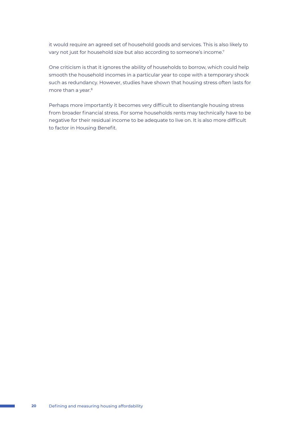it would require an agreed set of household goods and services. This is also likely to vary not just for household size but also according to someone's income.7

One criticism is that it ignores the ability of households to borrow, which could help smooth the household incomes in a particular year to cope with a temporary shock such as redundancy. However, studies have shown that housing stress often lasts for more than a year.<sup>8</sup>

Perhaps more importantly it becomes very difficult to disentangle housing stress from broader financial stress. For some households rents may technically have to be negative for their residual income to be adequate to live on. It is also more difficult to factor in Housing Benefit.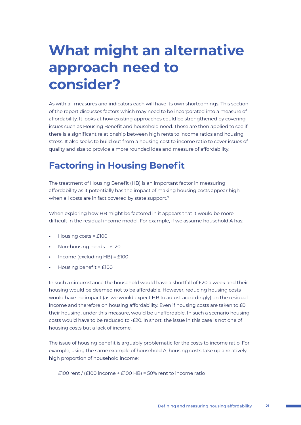# **What might an alternative approach need to consider?**

As with all measures and indicators each will have its own shortcomings. This section of the report discusses factors which may need to be incorporated into a measure of affordability. It looks at how existing approaches could be strengthened by covering issues such as Housing Benefit and household need. These are then applied to see if there is a significant relationship between high rents to income ratios and housing stress. It also seeks to build out from a housing cost to income ratio to cover issues of quality and size to provide a more rounded idea and measure of affordability.

## **Factoring in Housing Benefit**

The treatment of Housing Benefit (HB) is an important factor in measuring affordability as it potentially has the impact of making housing costs appear high when all costs are in fact covered by state support.<sup>9</sup>

When exploring how HB might be factored in it appears that it would be more difficult in the residual income model. For example, if we assume household A has:

- **•** Housing costs = £100
- **•** Non-housing needs = £120
- **•** Income (excluding HB) = £100
- **•** Housing benefit = £100

In such a circumstance the household would have a shortfall of £20 a week and their housing would be deemed not to be affordable. However, reducing housing costs would have no impact (as we would expect HB to adjust accordingly) on the residual income and therefore on housing affordability. Even if housing costs are taken to £0 their housing, under this measure, would be unaffordable. In such a scenario housing costs would have to be reduced to -£20. In short, the issue in this case is not one of housing costs but a lack of income.

The issue of housing benefit is arguably problematic for the costs to income ratio. For example, using the same example of household A, housing costs take up a relatively high proportion of household income:

£100 rent / (£100 income + £100 HB) = 50% rent to income ratio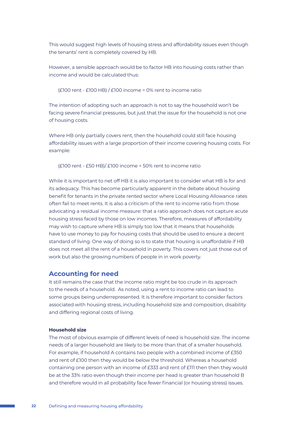This would suggest high levels of housing stress and affordability issues even though the tenants' rent is completely covered by HB.

However, a sensible approach would be to factor HB into housing costs rather than income and would be calculated thus:

 $(E100$  rent - £100 HB) / £100 income = 0% rent to income ratio

The intention of adopting such an approach is not to say the household won't be facing severe financial pressures, but just that the issue for the household is not one of housing costs.

Where HB only partially covers rent, then the household could still face housing affordability issues with a large proportion of their income covering housing costs. For example:

(£100 rent - £50 HB)/ £100 income = 50% rent to income ratio

While it is important to net off HB it is also important to consider what HB is for and its adequacy. This has become particularly apparent in the debate about housing benefit for tenants in the private rented sector where Local Housing Allowance rates often fail to meet rents. It is also a criticism of the rent to income ratio from those advocating a residual income measure: that a ratio approach does not capture acute housing stress faced by those on low incomes. Therefore, measures of affordability may wish to capture where HB is simply too low that it means that households have to use money to pay for housing costs that should be used to ensure a decent standard of living. One way of doing so is to state that housing is unaffordable if HB does not meet all the rent of a household in poverty. This covers not just those out of work but also the growing numbers of people in in work poverty.

### **Accounting for need**

It still remains the case that the income ratio might be too crude in its approach to the needs of a household. As noted, using a rent to income ratio can lead to some groups being underrepresented. It is therefore important to consider factors associated with housing stress, including household size and composition, disability and differing regional costs of living.

#### **Household size**

The most of obvious example of different levels of need is household size. The income needs of a larger household are likely to be more than that of a smaller household. For example, if household A contains two people with a combined income of £350 and rent of £100 then they would be below the threshold. Whereas a household containing one person with an income of £333 and rent of £111 then then they would be at the 33% ratio even though their income per head is greater than household B and therefore would in all probability face fewer financial (or housing stress) issues.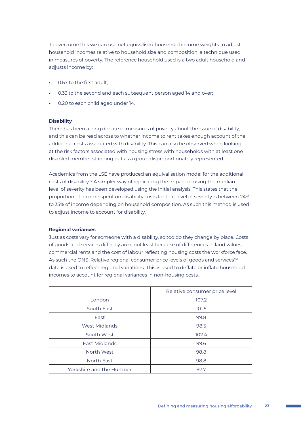To overcome this we can use net equivalised household income weights to adjust household incomes relative to household size and composition, a technique used in measures of poverty. The reference household used is a two adult household and adjusts income by:

- **•** 0.67 to the first adult;
- **•** 0.33 to the second and each subsequent person aged 14 and over;
- **•** 0.20 to each child aged under 14.

#### **Disability**

There has been a long debate in measures of poverty about the issue of disability, and this can be read across to whether income to rent takes enough account of the additional costs associated with disability. This can also be observed when looking at the risk factors associated with housing stress with households with at least one disabled member standing out as a group disproportionately represented.

Academics from the LSE have produced an equivalisation model for the additional costs of disability.<sup>10</sup> A simpler way of replicating the impact of using the median level of severity has been developed using the initial analysis. This states that the proportion of income spent on disability costs for that level of severity is between 24% to 35% of income depending on household composition. As such this method is used to adjust income to account for disability.<sup>11</sup>

#### **Regional variances**

Just as costs vary for someone with a disability, so too do they change by place. Costs of goods and services differ by area, not least because of differences in land values, commercial rents and the cost of labour reflecting housing costs the workforce face. As such the ONS 'Relative regional consumer price levels of goods and services'<sup>12</sup> data is used to reflect regional variations. This is used to deflate or inflate household incomes to account for regional variances in non-housing costs.

|                          | Relative consumer price level |
|--------------------------|-------------------------------|
| London                   | 107.2                         |
| South East               | 101.5                         |
| East                     | 99.8                          |
| West Midlands            | 98.5                          |
| South West               | 102.4                         |
| East Midlands            | 99.6                          |
| North West               | 98.8                          |
| North East               | 98.8                          |
| Yorkshire and the Humber | 97.7                          |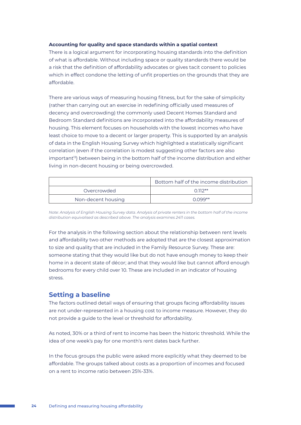#### **Accounting for quality and space standards within a spatial context**

There is a logical argument for incorporating housing standards into the definition of what is affordable. Without including space or quality standards there would be a risk that the definition of affordability advocates or gives tacit consent to policies which in effect condone the letting of unfit properties on the grounds that they are affordable.

There are various ways of measuring housing fitness, but for the sake of simplicity (rather than carrying out an exercise in redefining officially used measures of decency and overcrowding) the commonly used Decent Homes Standard and Bedroom Standard definitions are incorporated into the affordability measures of housing. This element focuses on households with the lowest incomes who have least choice to move to a decent or larger property. This is supported by an analysis of data in the English Housing Survey which highlighted a statistically significant correlation (even if the correlation is modest suggesting other factors are also important<sup>13</sup>) between being in the bottom half of the income distribution and either living in non-decent housing or being overcrowded.

|                    | Bottom half of the income distribution |
|--------------------|----------------------------------------|
| Overcrowded        | $0.112**$                              |
| Non-decent housing | $0.099**$                              |

*Note: Analysis of English Housing Survey data. Analysis of private renters in the bottom half of the income distribution equivalised as described above. The analysis examines 2411 cases.*

For the analysis in the following section about the relationship between rent levels and affordability two other methods are adopted that are the closest approximation to size and quality that are included in the Family Resource Survey. These are: someone stating that they would like but do not have enough money to keep their home in a decent state of décor; and that they would like but cannot afford enough bedrooms for every child over 10. These are included in an indicator of housing stress.

### **Setting a baseline**

The factors outlined detail ways of ensuring that groups facing affordability issues are not under-represented in a housing cost to income measure. However, they do not provide a guide to the level or threshold for affordability.

As noted, 30% or a third of rent to income has been the historic threshold. While the idea of one week's pay for one month's rent dates back further.

In the focus groups the public were asked more explicitly what they deemed to be affordable. The groups talked about costs as a proportion of incomes and focused on a rent to income ratio between 25%-33%.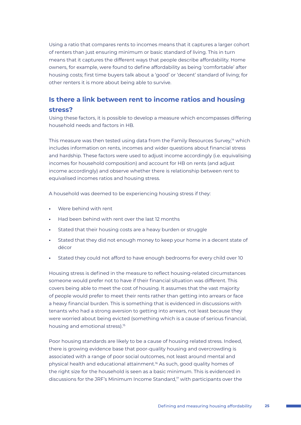Using a ratio that compares rents to incomes means that it captures a larger cohort of renters than just ensuring minimum or basic standard of living. This in turn means that it captures the different ways that people describe affordability. Home owners, for example, were found to define affordability as being 'comfortable' after housing costs; first time buyers talk about a 'good' or 'decent' standard of living; for other renters it is more about being able to survive.

## **Is there a link between rent to income ratios and housing stress?**

Using these factors, it is possible to develop a measure which encompasses differing household needs and factors in HB.

This measure was then tested using data from the Family Resources Survey,<sup>14</sup> which includes information on rents, incomes and wider questions about financial stress and hardship. These factors were used to adjust income accordingly (i.e. equivalising incomes for household composition) and account for HB on rents (and adjust income accordingly) and observe whether there is relationship between rent to equivalised incomes ratios and housing stress.

A household was deemed to be experiencing housing stress if they:

- **•** Were behind with rent
- **•** Had been behind with rent over the last 12 months
- **•** Stated that their housing costs are a heavy burden or struggle
- **•** Stated that they did not enough money to keep your home in a decent state of décor
- **•** Stated they could not afford to have enough bedrooms for every child over 10

Housing stress is defined in the measure to reflect housing-related circumstances someone would prefer not to have if their financial situation was different. This covers being able to meet the cost of housing. It assumes that the vast majority of people would prefer to meet their rents rather than getting into arrears or face a heavy financial burden. This is something that is evidenced in discussions with tenants who had a strong aversion to getting into arrears, not least because they were worried about being evicted (something which is a cause of serious financial, housing and emotional stress).<sup>15</sup>

Poor housing standards are likely to be a cause of housing related stress. Indeed, there is growing evidence base that poor-quality housing and overcrowding is associated with a range of poor social outcomes, not least around mental and physical health and educational attainment.16 As such, good quality homes of the right size for the household is seen as a basic minimum. This is evidenced in discussions for the JRF's Minimum Income Standard,<sup>17</sup> with participants over the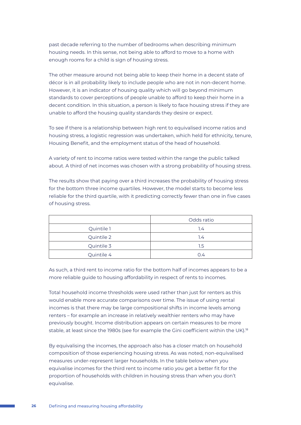past decade referring to the number of bedrooms when describing minimum housing needs. In this sense, not being able to afford to move to a home with enough rooms for a child is sign of housing stress.

The other measure around not being able to keep their home in a decent state of décor is in all probability likely to include people who are not in non-decent home. However, it is an indicator of housing quality which will go beyond minimum standards to cover perceptions of people unable to afford to keep their home in a decent condition. In this situation, a person is likely to face housing stress if they are unable to afford the housing quality standards they desire or expect.

To see if there is a relationship between high rent to equivalised income ratios and housing stress, a logistic regression was undertaken, which held for ethnicity, tenure, Housing Benefit, and the employment status of the head of household.

A variety of rent to income ratios were tested within the range the public talked about. A third of net incomes was chosen with a strong probability of housing stress.

The results show that paying over a third increases the probability of housing stress for the bottom three income quartiles. However, the model starts to become less reliable for the third quartile, with it predicting correctly fewer than one in five cases of housing stress.

|            | Odds ratio |
|------------|------------|
| Quintile 1 | 1.4        |
| Quintile 2 | 1.4        |
| Quintile 3 | 1.5        |
| Quintile 4 | 0.4        |

As such, a third rent to income ratio for the bottom half of incomes appears to be a more reliable guide to housing affordability in respect of rents to incomes.

Total household income thresholds were used rather than just for renters as this would enable more accurate comparisons over time. The issue of using rental incomes is that there may be large compositional shifts in income levels among renters – for example an increase in relatively wealthier renters who may have previously bought. Income distribution appears on certain measures to be more stable, at least since the 1980s (see for example the Gini coefficient within the UK).<sup>18</sup>

By equivalising the incomes, the approach also has a closer match on household composition of those experiencing housing stress. As was noted, non-equivalised measures under-represent larger households. In the table below when you equivalise incomes for the third rent to income ratio you get a better fit for the proportion of households with children in housing stress than when you don't equivalise.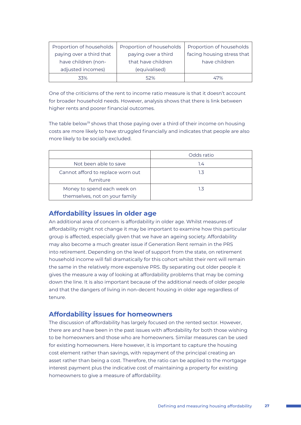| Proportion of households | Proportion of households | Proportion of households   |
|--------------------------|--------------------------|----------------------------|
| paying over a third that | paying over a third      | facing housing stress that |
| have children (non-      | that have children       | have children              |
| adjusted incomes)        | (equivalised)            |                            |
| 33%                      | 52%                      | 47%                        |

One of the criticisms of the rent to income ratio measure is that it doesn't account for broader household needs. However, analysis shows that there is link between higher rents and poorer financial outcomes.

The table below<sup>19</sup> shows that those paying over a third of their income on housing costs are more likely to have struggled financially and indicates that people are also more likely to be socially excluded.

|                                   | Odds ratio |
|-----------------------------------|------------|
| Not been able to save             | 1.4        |
| Cannot afford to replace worn out | 1.3        |
| furniture                         |            |
| Money to spend each week on       | 1.3        |
| themselves, not on your family    |            |

### **Affordability issues in older age**

An additional area of concern is affordability in older age. Whilst measures of affordability might not change it may be important to examine how this particular group is affected, especially given that we have an ageing society. Affordability may also become a much greater issue if Generation Rent remain in the PRS into retirement. Depending on the level of support from the state, on retirement household income will fall dramatically for this cohort whilst their rent will remain the same in the relatively more expensive PRS. By separating out older people it gives the measure a way of looking at affordability problems that may be coming down the line. It is also important because of the additional needs of older people and that the dangers of living in non-decent housing in older age regardless of tenure.

### **Affordability issues for homeowners**

The discussion of affordability has largely focused on the rented sector. However, there are and have been in the past issues with affordability for both those wishing to be homeowners and those who are homeowners. Similar measures can be used for existing homeowners. Here however, it is important to capture the housing cost element rather than savings, with repayment of the principal creating an asset rather than being a cost. Therefore, the ratio can be applied to the mortgage interest payment plus the indicative cost of maintaining a property for existing homeowners to give a measure of affordability.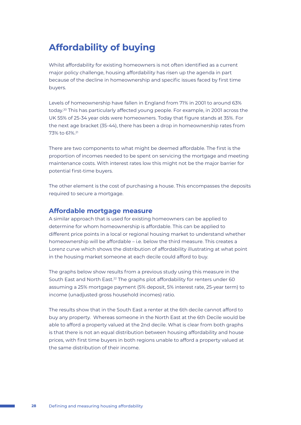# **Affordability of buying**

Whilst affordability for existing homeowners is not often identified as a current major policy challenge, housing affordability has risen up the agenda in part because of the decline in homeownership and specific issues faced by first time buyers.

Levels of homeownership have fallen in England from 71% in 2001 to around 63% today.20 This has particularly affected young people. For example, in 2001 across the UK 55% of 25-34 year olds were homeowners. Today that figure stands at 35%. For the next age bracket (35-44), there has been a drop in homeownership rates from 73% to 61%.21

There are two components to what might be deemed affordable. The first is the proportion of incomes needed to be spent on servicing the mortgage and meeting maintenance costs. With interest rates low this might not be the major barrier for potential first-time buyers.

The other element is the cost of purchasing a house. This encompasses the deposits required to secure a mortgage.

#### **Affordable mortgage measure**

A similar approach that is used for existing homeowners can be applied to determine for whom homeownership is affordable. This can be applied to different price points in a local or regional housing market to understand whether homeownership will be affordable – i.e. below the third measure. This creates a Lorenz curve which shows the distribution of affordability illustrating at what point in the housing market someone at each decile could afford to buy.

The graphs below show results from a previous study using this measure in the South East and North East.<sup>22</sup> The graphs plot affordability for renters under 60 assuming a 25% mortgage payment (5% deposit, 5% interest rate, 25-year term) to income (unadjusted gross household incomes) ratio.

The results show that in the South East a renter at the 6th decile cannot afford to buy any property. Whereas someone in the North East at the 6th Decile would be able to afford a property valued at the 2nd decile. What is clear from both graphs is that there is not an equal distribution between housing affordability and house prices, with first time buyers in both regions unable to afford a property valued at the same distribution of their income.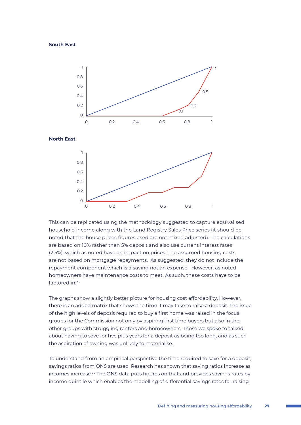#### **South East**

0.4





The graphs show a slightly better picture for housing cost affordability. However, there is an added matrix that shows the time it may take to raise a deposit. The issue of the high levels of deposit required to buy a first home was raised in the focus groups for the Commission not only by aspiring first time buyers but also in the other groups with struggling renters and homeowners. Those we spoke to talked about having to save for five plus years for a deposit as being too long, and as such the aspiration of owning was unlikely to materialise.

To understand from an empirical perspective the time required to save for a deposit, savings ratios from ONS are used. Research has shown that saving ratios increase as incomes increase.<sup>24</sup> The ONS data puts figures on that and provides savings rates by income quintile which enables the modelling of differential savings rates for raising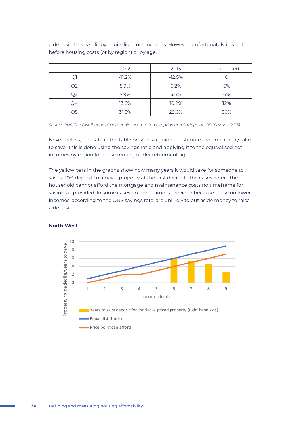a deposit. This is split by equivalised net incomes. However, unfortunately it is not before housing costs (or by region) or by age.

|    | 2012     | 2013     | Rate used |
|----|----------|----------|-----------|
|    | $-11.2%$ | $-12.5%$ |           |
| Q2 | 5.9%     | 6.2%     | 6%        |
| O3 | 7.9%     | 5.4%     | 6%        |
| O4 | 13.6%    | 10.2%    | 12%       |
| Q5 | 31.5%    | 29.6%    | 30%       |

*Source: ONS, The Distribution of Household Income, Consumption and Savings, an OECD study (2015)*

Nevertheless, the data in the table provides a guide to estimate the time it may take to save. This is done using the savings ratio and applying it to the equivalised net incomes by region for those renting under retirement age.

The yellow bars in the graphs show how many years it would take for someone to save a 10% deposit to a buy a property at the first decile. In the cases where the household cannot afford the mortgage and maintenance costs no timeframe for savings is provided. In some cases no timeframe is provided because those on lower incomes, according to the ONS savings rate, are unlikely to put aside money to raise a deposit.



#### **North West**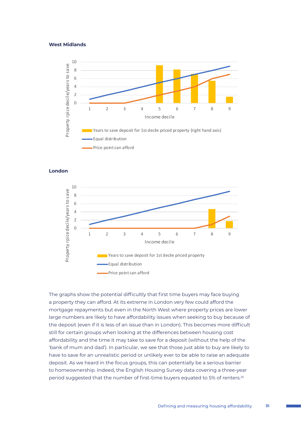#### **West Midlands**



**London**



The graphs show the potential difficultly that first time buyers may face buying a property they can afford. At its extreme in London very few could afford the mortgage repayments but even in the North West where property prices are lower large numbers are likely to have affordability issues when seeking to buy because of the deposit (even if it is less of an issue than in London). This becomes more difficult still for certain groups when looking at the differences between housing cost affordability and the time it may take to save for a deposit (without the help of the 'bank of mum and dad'). In particular, we see that those just able to buy are likely to have to save for an unrealistic period or unlikely ever to be able to raise an adequate deposit. As we heard in the focus groups, this can potentially be a serious barrier to homeownership. Indeed, the English Housing Survey data covering a three-year period suggested that the number of first-time buyers equated to 5% of renters.<sup>25</sup>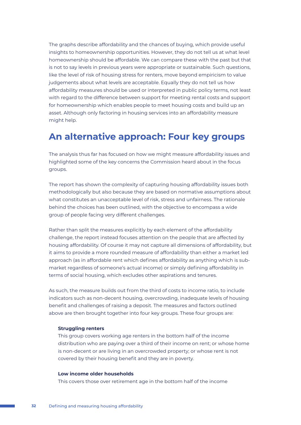The graphs describe affordability and the chances of buying, which provide useful insights to homeownership opportunities. However, they do not tell us at what level homeownership should be affordable. We can compare these with the past but that is not to say levels in previous years were appropriate or sustainable. Such questions, like the level of risk of housing stress for renters, move beyond empiricism to value judgements about what levels are acceptable. Equally they do not tell us how affordability measures should be used or interpreted in public policy terms, not least with regard to the difference between support for meeting rental costs and support for homeownership which enables people to meet housing costs and build up an asset. Although only factoring in housing services into an affordability measure might help.

## **An alternative approach: Four key groups**

The analysis thus far has focused on how we might measure affordability issues and highlighted some of the key concerns the Commission heard about in the focus groups.

The report has shown the complexity of capturing housing affordability issues both methodologically but also because they are based on normative assumptions about what constitutes an unacceptable level of risk, stress and unfairness. The rationale behind the choices has been outlined, with the objective to encompass a wide group of people facing very different challenges.

Rather than split the measures explicitly by each element of the affordability challenge, the report instead focuses attention on the people that are affected by housing affordability. Of course it may not capture all dimensions of affordability, but it aims to provide a more rounded measure of affordability than either a market led approach (as in affordable rent which defines affordability as anything which is submarket regardless of someone's actual income) or simply defining affordability in terms of social housing, which excludes other aspirations and tenures.

As such, the measure builds out from the third of costs to income ratio, to include indicators such as non-decent housing, overcrowding, inadequate levels of housing benefit and challenges of raising a deposit. The measures and factors outlined above are then brought together into four key groups. These four groups are:

#### **Struggling renters**

This group covers working age renters in the bottom half of the income distribution who are paying over a third of their income on rent; or whose home is non-decent or are living in an overcrowded property; or whose rent is not covered by their housing benefit and they are in poverty.

#### **Low income older households**

This covers those over retirement age in the bottom half of the income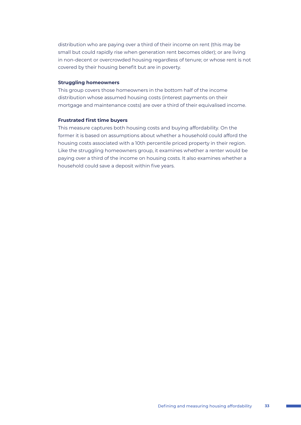distribution who are paying over a third of their income on rent (this may be small but could rapidly rise when generation rent becomes older); or are living in non-decent or overcrowded housing regardless of tenure; or whose rent is not covered by their housing benefit but are in poverty.

#### **Struggling homeowners**

This group covers those homeowners in the bottom half of the income distribution whose assumed housing costs (interest payments on their mortgage and maintenance costs) are over a third of their equivalised income.

#### **Frustrated first time buyers**

This measure captures both housing costs and buying affordability. On the former it is based on assumptions about whether a household could afford the housing costs associated with a 10th percentile priced property in their region. Like the struggling homeowners group, it examines whether a renter would be paying over a third of the income on housing costs. It also examines whether a household could save a deposit within five years.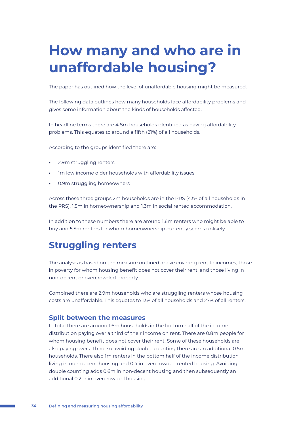# **How many and who are in unaffordable housing?**

The paper has outlined how the level of unaffordable housing might be measured.

The following data outlines how many households face affordability problems and gives some information about the kinds of households affected.

In headline terms there are 4.8m households identified as having affordability problems. This equates to around a fifth (21%) of all households.

According to the groups identified there are:

- **•** 2.9m struggling renters
- **•** 1m low income older households with affordability issues
- **•** 0.9m struggling homeowners

Across these three groups 2m households are in the PRS (43% of all households in the PRS), 1.5m in homeownership and 1.3m in social rented accommodation.

In addition to these numbers there are around 1.6m renters who might be able to buy and 5.5m renters for whom homeownership currently seems unlikely.

## **Struggling renters**

The analysis is based on the measure outlined above covering rent to incomes, those in poverty for whom housing benefit does not cover their rent, and those living in non-decent or overcrowded property.

Combined there are 2.9m households who are struggling renters whose housing costs are unaffordable. This equates to 13% of all households and 27% of all renters.

### **Split between the measures**

In total there are around 1.6m households in the bottom half of the income distribution paying over a third of their income on rent. There are 0.8m people for whom housing benefit does not cover their rent. Some of these households are also paying over a third, so avoiding double counting there are an additional 0.5m households. There also 1m renters in the bottom half of the income distribution living in non-decent housing and 0.4 in overcrowded rented housing. Avoiding double counting adds 0.6m in non-decent housing and then subsequently an additional 0.2m in overcrowded housing.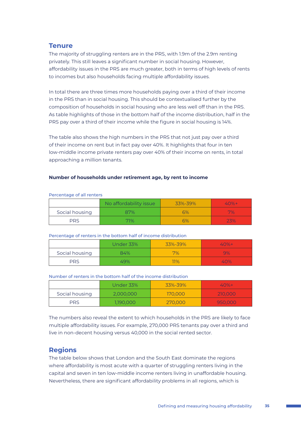## **Tenure**

The majority of struggling renters are in the PRS, with 1.9m of the 2.9m renting privately. This still leaves a significant number in social housing. However, affordability issues in the PRS are much greater, both in terms of high levels of rents to incomes but also households facing multiple affordability issues.

In total there are three times more households paying over a third of their income in the PRS than in social housing. This should be contextualised further by the composition of households in social housing who are less well off than in the PRS. As table highlights of those in the bottom half of the income distribution, half in the PRS pay over a third of their income while the figure in social housing is 14%.

The table also shows the high numbers in the PRS that not just pay over a third of their income on rent but in fact pay over 40%. It highlights that four in ten low-middle income private renters pay over 40% of their income on rents, in total approaching a million tenants.

#### **Number of households under retirement age, by rent to income**

|                | No affordability issue | 33%-39% | $40%+$          |
|----------------|------------------------|---------|-----------------|
| Social housing | 87%                    | 6%      | V <sub>20</sub> |
| <b>PRS</b>     | 71%                    | 6%      | 23%             |

#### Percentage of all renters

#### Percentage of renters in the bottom half of income distribution

|                | Under 33% | 33%-39%   | $40% +$ |
|----------------|-----------|-----------|---------|
| Social housing | 84%       | 7%        | 9%      |
| <b>PRS</b>     | 49%       | <b>PP</b> | 40%     |

#### Number of renters in the bottom half of the income distribution

|                | Under 33% | 33%-39% | $40%+$  |
|----------------|-----------|---------|---------|
| Social housing | 2,000,000 | 170,000 | 210,000 |
| <b>PRS</b>     | 1,190,000 | 270,000 | 950,000 |

The numbers also reveal the extent to which households in the PRS are likely to face multiple affordability issues. For example, 270,000 PRS tenants pay over a third and live in non-decent housing versus 40,000 in the social rented sector.

## **Regions**

The table below shows that London and the South East dominate the regions where affordability is most acute with a quarter of struggling renters living in the capital and seven in ten low-middle income renters living in unaffordable housing. Nevertheless, there are significant affordability problems in all regions, which is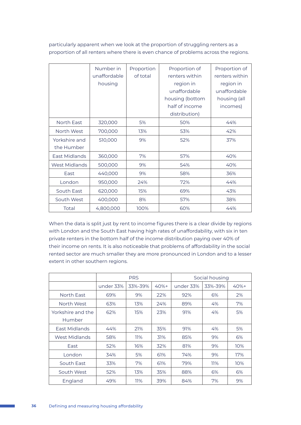|               | Number in    | Proportion | Proportion of   | Proportion of  |
|---------------|--------------|------------|-----------------|----------------|
|               | unaffordable | of total   | renters within  | renters within |
|               | housing      |            | region in       | region in      |
|               |              |            | unaffordable    | unaffordable   |
|               |              |            | housing (bottom | housing (all   |
|               |              |            | half of income  | incomes)       |
|               |              |            | distribution)   |                |
| North East    | 320,000      | 5%         | 50%             | 44%            |
| North West    | 700,000      | 13%        | 53%             | 42%            |
| Yorkshire and | 510,000      | 9%         | 52%             | 37%            |
| the Humber    |              |            |                 |                |
| East Midlands | 360,000      | 7%         | 57%             | 40%            |
| West Midlands | 500,000      | 9%         | 54%             | 40%            |
| East          | 440,000      | 9%         | 58%             | 36%            |
| London        | 950,000      | 24%        | 72%             | 44%            |
| South East    | 620,000      | 15%        | 69%             | 43%            |
| South West    | 400,000      | 8%         | 57%             | 38%            |
| Total         | 4,800,000    | 100%       | 60%             | 44%            |

particularly apparent when we look at the proportion of struggling renters as a proportion of all renters where there is even chance of problems across the regions.

When the data is split just by rent to income figures there is a clear divide by regions with London and the South East having high rates of unaffordability, with six in ten private renters in the bottom half of the income distribution paying over 40% of their income on rents. It is also noticeable that problems of affordability in the social rented sector are much smaller they are more pronounced in London and to a lesser extent in other southern regions.

|                      | <b>PRS</b> |         | Social housing |           |         |         |
|----------------------|------------|---------|----------------|-----------|---------|---------|
|                      | under 33%  | 33%-39% | $40% +$        | under 33% | 33%-39% | $40% +$ |
| North East           | 69%        | 9%      | 22%            | 92%       | 6%      | 2%      |
| North West           | 63%        | 13%     | 24%            | 89%       | 4%      | 7%      |
| Yorkshire and the    | 62%        | 15%     | 23%            | 91%       | 4%      | 5%      |
| Humber               |            |         |                |           |         |         |
| <b>Fast Midlands</b> | 44%        | 21%     | 35%            | 91%       | 4%      | 5%      |
| <b>West Midlands</b> | 58%        | 11%     | 31%            | 85%       | 9%      | 6%      |
| East                 | 52%        | 16%     | 32%            | 81%       | 9%      | 10%     |
| London               | 34%        | 5%      | 61%            | 74%       | 9%      | 17%     |
| South East           | 33%        | 7%      | 61%            | 79%       | 11%     | 10%     |
| South West           | 52%        | 13%     | 35%            | 88%       | 6%      | 6%      |
| England              | 49%        | 11%     | 39%            | 84%       | 7%      | 9%      |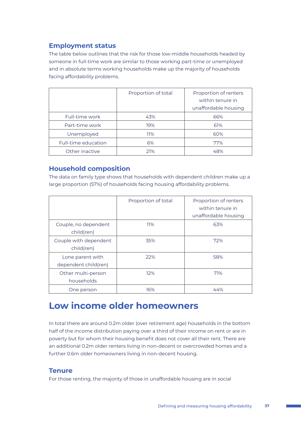## **Employment status**

The table below outlines that the risk for those low-middle households headed by someone in full-time work are similar to those working part-time or unemployed and in absolute terms working households make up the majority of households facing affordability problems.

|                     | Proportion of total | Proportion of renters<br>within tenure in<br>unaffordable housing |
|---------------------|---------------------|-------------------------------------------------------------------|
| Full-time work      | 43%                 | 66%                                                               |
| Part-time work      | 19%                 | 61%                                                               |
| Unemployed          | 11%                 | 60%                                                               |
| Full-time education | 6%                  | 77%                                                               |
| Other inactive      | 21%                 | 48%                                                               |

## **Household composition**

The data on family type shows that households with dependent children make up a large proportion (57%) of households facing housing affordability problems.

|                                          | Proportion of total | Proportion of renters<br>within tenure in<br>unaffordable housing |
|------------------------------------------|---------------------|-------------------------------------------------------------------|
| Couple, no dependent<br>child(ren)       | 11%                 | 63%                                                               |
| Couple with dependent<br>child(ren)      | 35%                 | 72%                                                               |
| Lone parent with<br>dependent child(ren) | 22%                 | 58%                                                               |
| Other multi-person<br>households         | 12%                 | 71%                                                               |
| One person                               | 16%                 | 44%                                                               |

## **Low income older homeowners**

In total there are around 0.2m older (over retirement age) households in the bottom half of the income distribution paying over a third of their income on rent or are in poverty but for whom their housing benefit does not cover all their rent. There are an additional 0.2m older renters living in non-decent or overcrowded homes and a further 0.6m older homeowners living in non-decent housing.

## **Tenure**

For those renting, the majority of those in unaffordable housing are in social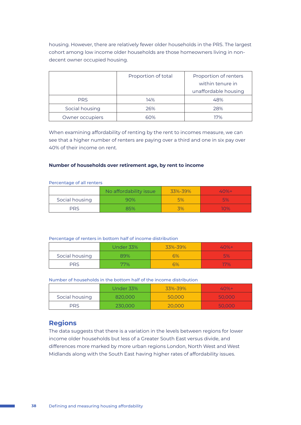housing. However, there are relatively fewer older households in the PRS. The largest cohort among low income older households are those homeowners living in nondecent owner occupied housing.

|                 | Proportion of total | Proportion of renters<br>within tenure in<br>unaffordable housing |
|-----------------|---------------------|-------------------------------------------------------------------|
| <b>PRS</b>      | 14%                 | 48%                                                               |
| Social housing  | 26%                 | 28%                                                               |
| Owner occupiers | 60%                 | 17%                                                               |

When examining affordability of renting by the rent to incomes measure, we can see that a higher number of renters are paying over a third and one in six pay over 40% of their income on rent.

#### **Number of households over retirement age, by rent to income**

#### Percentage of all renters

|                | No affordability issue | 33%-39% | $40%+$ |
|----------------|------------------------|---------|--------|
| Social housing | 90%                    | 5%      | 5%     |
| <b>PRS</b>     | 85%                    | 3%      | $10\%$ |

#### Percentage of renters in bottom half of income distribution

|                | Under 33% | 33%-39% | $40% +$   |
|----------------|-----------|---------|-----------|
| Social housing | 89%       | 6%      | <b>5%</b> |
| PRS            | 77%       | 6%      | 17%       |

Number of households in the bottom half of the income distribution

|                | Under 33% | 33%-39% | $40%+$ |
|----------------|-----------|---------|--------|
| Social housing | 820,000   | 50,000  | 50,000 |
| PRS            | 230,000   | 20,000  | 50,000 |

## **Regions**

The data suggests that there is a variation in the levels between regions for lower income older households but less of a Greater South East versus divide, and differences more marked by more urban regions London, North West and West Midlands along with the South East having higher rates of affordability issues.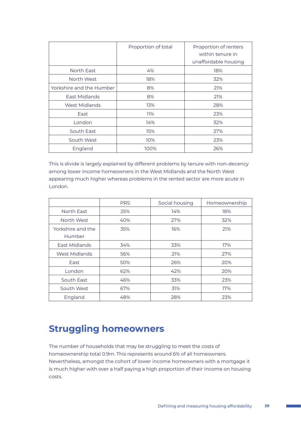|                          | Proportion of total | Proportion of renters<br>within tenure in<br>unaffordable housing |
|--------------------------|---------------------|-------------------------------------------------------------------|
| North East               | 4%                  | 18%                                                               |
| North West               | 18%                 | 32%                                                               |
| Yorkshire and the Humber | 8%                  | 21%                                                               |
| East Midlands            | 8%                  | 21%                                                               |
| West Midlands            | 13%                 | 28%                                                               |
| East                     | 11%                 | 23%                                                               |
| London                   | 14%                 | 32%                                                               |
| South East               | 15%                 | 27%                                                               |
| South West               | 10%                 | 23%                                                               |
| England                  | 100%                | 26%                                                               |

This is divide is largely explained by different problems by tenure with non-decency among lower income homeowners in the West Midlands and the North West appearing much higher whereas problems in the rented sector are more acute in London.

|                   | <b>PRS</b> | Social housing | Homeownership |
|-------------------|------------|----------------|---------------|
| North East        | 25%        | 14%            | 18%           |
| North West        | 40%        | 27%            | 32%           |
| Yorkshire and the | 35%        | 16%            | 21%           |
| Humber            |            |                |               |
| East Midlands     | 34%        | 33%            | 17%           |
| West Midlands     | 56%        | 21%            | 27%           |
| East              | 50%        | 26%            | 20%           |
| London            | 62%        | 42%            | 20%           |
| South East        | 46%        | 33%            | 23%           |
| South West        | 67%        | 31%            | 17%           |
| England           | 48%        | 28%            | 23%           |

## **Struggling homeowners**

The number of households that may be struggling to meet the costs of homeownership total 0.9m. This represents around 6% of all homeowners. Nevertheless, amongst the cohort of lower income homeowners with a mortgage it is much higher with over a half paying a high proportion of their income on housing costs.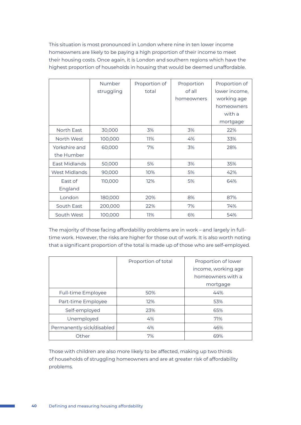This situation is most pronounced in London where nine in ten lower income homeowners are likely to be paying a high proportion of their income to meet their housing costs. Once again, it is London and southern regions which have the highest proportion of households in housing that would be deemed unaffordable.

|                             | Number<br>struggling | Proportion of<br>total | Proportion<br>of all<br>homeowners | Proportion of<br>lower income,<br>working age<br>homeowners<br>with a<br>mortgage |
|-----------------------------|----------------------|------------------------|------------------------------------|-----------------------------------------------------------------------------------|
| North East                  | 30,000               | 3%                     | 3%                                 | 22%                                                                               |
| North West                  | 100,000              | 11%                    | 4%                                 | 33%                                                                               |
| Yorkshire and<br>the Humber | 60,000               | 7%                     | 3%                                 | 28%                                                                               |
| East Midlands               | 50,000               | 5%                     | 3%                                 | 35%                                                                               |
| West Midlands               | 90,000               | 10%                    | 5%                                 | 42%                                                                               |
| East of<br>England          | 110,000              | 12%                    | 5%                                 | 64%                                                                               |
| London                      | 180,000              | 20%                    | 8%                                 | 87%                                                                               |
| South East                  | 200,000              | 22%                    | 7%                                 | 74%                                                                               |
| South West                  | 100,000              | 11%                    | 6%                                 | 54%                                                                               |

The majority of those facing affordability problems are in work – and largely in fulltime work. However, the risks are higher for those out of work. It is also worth noting that a significant proportion of the total is made up of those who are self-employed.

|                           | Proportion of total | Proportion of lower<br>income, working age<br>homeowners with a<br>mortgage |
|---------------------------|---------------------|-----------------------------------------------------------------------------|
| Full-time Employee        | 50%                 | 44%                                                                         |
| Part-time Employee        | 12%                 | 53%                                                                         |
| Self-employed             | 23%                 | 65%                                                                         |
| Unemployed                | 4%                  | 71%                                                                         |
| Permanently sick/disabled | 4%                  | 46%                                                                         |
| Other                     | 7%                  | 69%                                                                         |

Those with children are also more likely to be affected, making up two thirds of households of struggling homeowners and are at greater risk of affordability problems.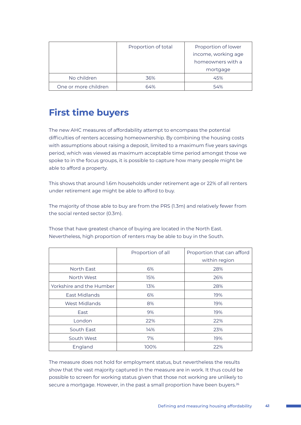|                      | Proportion of total | Proportion of lower<br>income, working age<br>homeowners with a |
|----------------------|---------------------|-----------------------------------------------------------------|
|                      |                     | mortgage                                                        |
| No children          | 36%                 | 45%                                                             |
| One or more children | 64%                 | 54%                                                             |

# **First time buyers**

The new AHC measures of affordability attempt to encompass the potential difficulties of renters accessing homeownership. By combining the housing costs with assumptions about raising a deposit, limited to a maximum five years savings period, which was viewed as maximum acceptable time period amongst those we spoke to in the focus groups, it is possible to capture how many people might be able to afford a property.

This shows that around 1.6m households under retirement age or 22% of all renters under retirement age might be able to afford to buy.

The majority of those able to buy are from the PRS (1.3m) and relatively fewer from the social rented sector (0.3m).

Those that have greatest chance of buying are located in the North East. Nevertheless, high proportion of renters may be able to buy in the South.

|                          | Proportion of all | Proportion that can afford<br>within region |
|--------------------------|-------------------|---------------------------------------------|
| North East               | 6%                | 28%                                         |
| North West               | 15%               | 26%                                         |
| Yorkshire and the Humber | 13%               | 28%                                         |
| East Midlands            | 6%                | 19%                                         |
| West Midlands            | 8%                | 19%                                         |
| East                     | 9%                | 19%                                         |
| London                   | 22%               | 22%                                         |
| South East               | 14%               | 23%                                         |
| South West               | 7%                | 19%                                         |
| England                  | 100%              | 22%                                         |

The measure does not hold for employment status, but nevertheless the results show that the vast majority captured in the measure are in work. It thus could be possible to screen for working status given that those not working are unlikely to secure a mortgage. However, in the past a small proportion have been buyers.<sup>26</sup>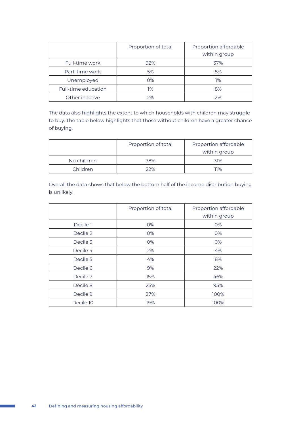|                     | Proportion of total | Proportion affordable<br>within group |
|---------------------|---------------------|---------------------------------------|
| Full-time work      | 92%                 | 37%                                   |
| Part-time work      | 5%                  | 8%                                    |
| Unemployed          | $O\%$               | 1%                                    |
| Full-time education | 1%                  | 8%                                    |
| Other inactive      | 2%                  | 2%                                    |

The data also highlights the extent to which households with children may struggle to buy. The table below highlights that those without children have a greater chance of buying.

|             | Proportion of total | Proportion affordable |
|-------------|---------------------|-----------------------|
|             |                     | within group          |
| No children | 78%                 | 31%                   |
| Children    | 22%                 | 11%                   |

Overall the data shows that below the bottom half of the income distribution buying is unlikely.

|           | Proportion of total | Proportion affordable<br>within group |
|-----------|---------------------|---------------------------------------|
| Decile 1  | 0%                  | 0%                                    |
| Decile 2  | 0%                  | 0%                                    |
| Decile 3  | 0%                  | 0%                                    |
| Decile 4  | 2%                  | 4%                                    |
| Decile 5  | 4%                  | 8%                                    |
| Decile 6  | 9%                  | 22%                                   |
| Decile 7  | 15%                 | 46%                                   |
| Decile 8  | 25%                 | 95%                                   |
| Decile 9  | 27%                 | 100%                                  |
| Decile 10 | 19%                 | 100%                                  |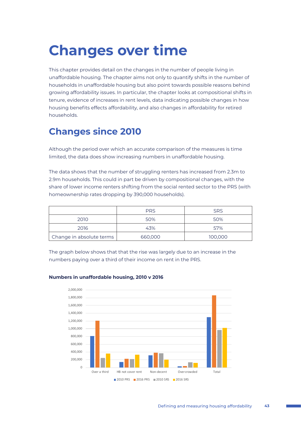# **Changes over time**

This chapter provides detail on the changes in the number of people living in unaffordable housing. The chapter aims not only to quantify shifts in the number of households in unaffordable housing but also point towards possible reasons behind growing affordability issues. In particular, the chapter looks at compositional shifts in tenure, evidence of increases in rent levels, data indicating possible changes in how housing benefits effects affordability, and also changes in affordability for retired households.

# **Changes since 2010**

Although the period over which an accurate comparison of the measures is time limited, the data does show increasing numbers in unaffordable housing.

The data shows that the number of struggling renters has increased from 2.3m to 2.9m households. This could in part be driven by compositional changes, with the share of lower income renters shifting from the social rented sector to the PRS (with homeownership rates dropping by 390,000 households).

|                          | <b>PRS</b> | <b>SRS</b> |
|--------------------------|------------|------------|
| 2010                     | 50%        | 50%        |
| 2016                     | 43%        | 57%        |
| Change in absolute terms | 660,000    | 100,000    |

The graph below shows that that the rise was largely due to an increase in the numbers paying over a third of their income on rent in the PRS.



#### **Numbers in unaffordable housing, 2010 v 2016**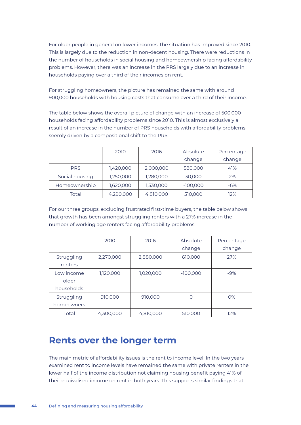For older people in general on lower incomes, the situation has improved since 2010. This is largely due to the reduction in non-decent housing. There were reductions in the number of households in social housing and homeownership facing affordability problems. However, there was an increase in the PRS largely due to an increase in households paying over a third of their incomes on rent.

For struggling homeowners, the picture has remained the same with around 900,000 households with housing costs that consume over a third of their income.

The table below shows the overall picture of change with an increase of 500,000 households facing affordability problems since 2010. This is almost exclusively a result of an increase in the number of PRS households with affordability problems, seemly driven by a compositional shift to the PRS.

|                | 2010      | 2016      | Absolute   | Percentage |
|----------------|-----------|-----------|------------|------------|
|                |           |           | change     | change     |
| <b>PRS</b>     | 1,420,000 | 2,000,000 | 580,000    | 41%        |
| Social housing | 1,250,000 | 1,280,000 | 30,000     | 2%         |
| Homeownership  | 1,620,000 | 1,530,000 | $-100,000$ | $-6%$      |
| Total          | 4,290,000 | 4,810,000 | 510,000    | 12%        |

For our three groups, excluding frustrated first-time buyers, the table below shows that growth has been amongst struggling renters with a 27% increase in the number of working age renters facing affordability problems.

|                                   | 2010      | 2016      | Absolute<br>change | Percentage<br>change |
|-----------------------------------|-----------|-----------|--------------------|----------------------|
| Struggling<br>renters             | 2,270,000 | 2,880,000 | 610,000            | 27%                  |
| Low income<br>older<br>households | 1,120,000 | 1,020,000 | $-100,000$         | $-9%$                |
| Struggling<br>homeowners          | 910,000   | 910,000   | $\Omega$           | O%                   |
| Total                             | 4,300,000 | 4,810,000 | 510,000            | 12%                  |

## **Rents over the longer term**

The main metric of affordability issues is the rent to income level. In the two years examined rent to income levels have remained the same with private renters in the lower half of the income distribution not claiming housing benefit paying 41% of their equivalised income on rent in both years. This supports similar findings that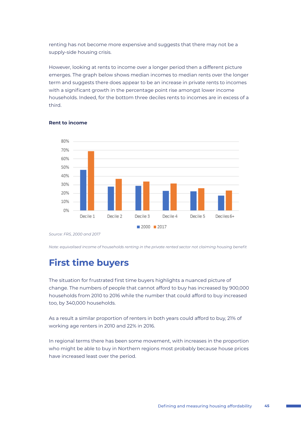renting has not become more expensive and suggests that there may not be a supply-side housing crisis.

However, looking at rents to income over a longer period then a different picture emerges. The graph below shows median incomes to median rents over the longer term and suggests there does appear to be an increase in private rents to incomes with a significant growth in the percentage point rise amongst lower income households. Indeed, for the bottom three deciles rents to incomes are in excess of a third.



#### **Rent to income**

*Source: FRS, 2000 and 2017*

*Note: equivalised income of households renting in the private rented sector not claiming housing benefit*

# **First time buyers**

The situation for frustrated first time buyers highlights a nuanced picture of change. The numbers of people that cannot afford to buy has increased by 900,000 households from 2010 to 2016 while the number that could afford to buy increased too, by 340,000 households.

As a result a similar proportion of renters in both years could afford to buy, 21% of working age renters in 2010 and 22% in 2016.

In regional terms there has been some movement, with increases in the proportion who might be able to buy in Northern regions most probably because house prices have increased least over the period.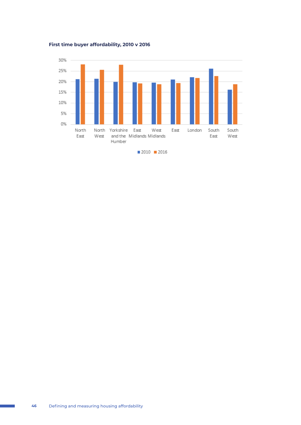**First time buyer affordability, 2010 v 2016**

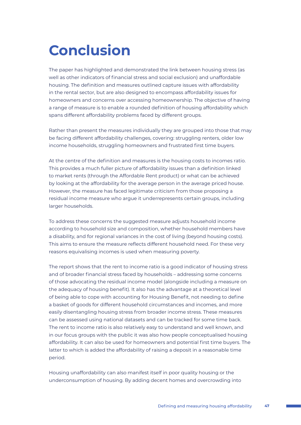# **Conclusion**

The paper has highlighted and demonstrated the link between housing stress (as well as other indicators of financial stress and social exclusion) and unaffordable housing. The definition and measures outlined capture issues with affordability in the rental sector, but are also designed to encompass affordability issues for homeowners and concerns over accessing homeownership. The objective of having a range of measure is to enable a rounded definition of housing affordability which spans different affordability problems faced by different groups.

Rather than present the measures individually they are grouped into those that may be facing different affordability challenges, covering: struggling renters, older low income households, struggling homeowners and frustrated first time buyers.

At the centre of the definition and measures is the housing costs to incomes ratio. This provides a much fuller picture of affordability issues than a definition linked to market rents (through the Affordable Rent product) or what can be achieved by looking at the affordability for the average person in the average priced house. However, the measure has faced legitimate criticism from those proposing a residual income measure who argue it underrepresents certain groups, including larger households.

To address these concerns the suggested measure adjusts household income according to household size and composition, whether household members have a disability, and for regional variances in the cost of living (beyond housing costs). This aims to ensure the measure reflects different household need. For these very reasons equivalising incomes is used when measuring poverty.

The report shows that the rent to income ratio is a good indicator of housing stress and of broader financial stress faced by households – addressing some concerns of those advocating the residual income model (alongside including a measure on the adequacy of housing benefit). It also has the advantage at a theoretical level of being able to cope with accounting for Housing Benefit, not needing to define a basket of goods for different household circumstances and incomes, and more easily disentangling housing stress from broader income stress. These measures can be assessed using national datasets and can be tracked for some time back. The rent to income ratio is also relatively easy to understand and well known, and in our focus groups with the public it was also how people conceptualised housing affordability. It can also be used for homeowners and potential first time buyers. The latter to which is added the affordability of raising a deposit in a reasonable time period.

Housing unaffordability can also manifest itself in poor quality housing or the underconsumption of housing. By adding decent homes and overcrowding into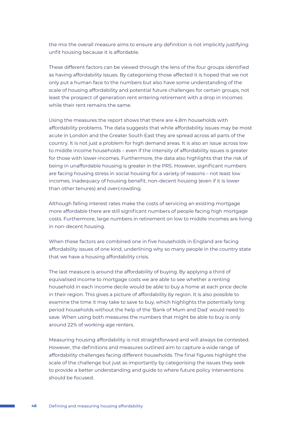the mix the overall measure aims to ensure any definition is not implicitly justifying unfit housing because it is affordable.

These different factors can be viewed through the lens of the four groups identified as having affordability issues. By categorising those affected it is hoped that we not only put a human face to the numbers but also have some understanding of the scale of housing affordability and potential future challenges for certain groups, not least the prospect of generation rent entering retirement with a drop in incomes while their rent remains the same.

Using the measures the report shows that there are 4.8m households with affordability problems. The data suggests that while affordability issues may be most acute in London and the Greater South East they are spread across all parts of the country. It is not just a problem for high demand areas. It is also an issue across low to middle income households – even if the intensity of affordability issues is greater for those with lower-incomes. Furthermore, the data also highlights that the risk of being in unaffordable housing is greater in the PRS. However, significant numbers are facing housing stress in social housing for a variety of reasons – not least low incomes, inadequacy of housing benefit, non-decent housing (even if it is lower than other tenures) and overcrowding.

Although falling interest rates make the costs of servicing an existing mortgage more affordable there are still significant numbers of people facing high mortgage costs. Furthermore, large numbers in retirement on low to middle incomes are living in non-decent housing.

When these factors are combined one in five households in England are facing affordability issues of one kind, underlining why so many people in the country state that we have a housing affordability crisis.

The last measure is around the affordability of buying. By applying a third of equivalised income to mortgage costs we are able to see whether a renting household in each income decile would be able to buy a home at each price decile in their region. This gives a picture of affordability by region. It is also possible to examine the time it may take to save to buy, which highlights the potentially long period households without the help of the 'Bank of Mum and Dad' would need to save. When using both measures the numbers that might be able to buy is only around 22% of working-age renters.

Measuring housing affordability is not straightforward and will always be contested. However, the definitions and measures outlined aim to capture a wide range of affordability challenges facing different households. The final figures highlight the scale of the challenge but just as importantly by categorising the issues they seek to provide a better understanding and guide to where future policy interventions should be focused.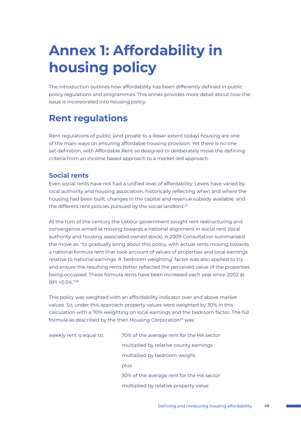# **Annex 1: Affordability in housing policy**

The introduction outlines how affordability has been differently defined in public policy regulations and programmes. This annex provides more detail about how the issue is incorporated into housing policy.

## **Rent regulations**

Rent regulations of public (and private to a lesser extent today) housing are one of the main ways on ensuring affordable housing provision. Yet there is no one set definition, with Affordable Rent so designed to deliberately move the defining criteria from an income based approach to a market-led approach.

## **Social rents**

Even social rents have not had a unified level of affordability. Levels have varied by local authority and housing association, historically reflecting when and where the housing had been built, changes in the capital and revenue subsidy available, and the different rent policies pursued by the social landlord.<sup>27</sup>

At the turn of the century the Labour government sought rent restructuring and convergence aimed at moving towards a national alignment in social rent (local authority and housing associated owned stock). A 2009 Consultation summarised the move as: "to gradually bring about this policy, with actual rents moving towards a national formula rent that took account of values of properties and local earnings relative to national earnings. A 'bedroom weighting' factor was also applied to try and ensure the resulting rents better reflected the perceived value of the properties being occupied. These formula rents have been increased each year since 2002 at RPI +0.5%."28

This policy was weighted with an affordability indicator over and above market values. So, under this approach property values were weighted by 30% in this calculation with a 70% weighting on local earnings and the bedroom factor. The full formula as described by the then Housing Corporation<sup>29</sup> was:

weekly rent is equal to: 70% of the average rent for the HA sector multiplied by relative county earnings multiplied by bedroom weight plus 30% of the average rent for the HA sector multiplied by relative property value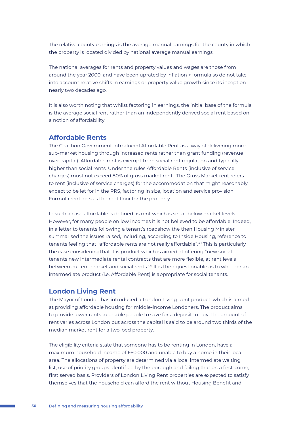The relative county earnings is the average manual earnings for the county in which the property is located divided by national average manual earnings.

The national averages for rents and property values and wages are those from around the year 2000, and have been uprated by inflation + formula so do not take into account relative shifts in earnings or property value growth since its inception nearly two decades ago.

It is also worth noting that whilst factoring in earnings, the initial base of the formula is the average social rent rather than an independently derived social rent based on a notion of affordability.

### **Affordable Rents**

The Coalition Government introduced Affordable Rent as a way of delivering more sub-market housing through increased rents rather than grant funding (revenue over capital). Affordable rent is exempt from social rent regulation and typically higher than social rents. Under the rules Affordable Rents (inclusive of service charges) must not exceed 80% of gross market rent. The Gross Market rent refers to rent (inclusive of service charges) for the accommodation that might reasonably expect to be let for in the PRS, factoring in size, location and service provision. Formula rent acts as the rent floor for the property.

In such a case affordable is defined as rent which is set at below market levels. However, for many people on low incomes it is not believed to be affordable. Indeed, in a letter to tenants following a tenant's roadshow the then Housing Minister summarised the issues raised, including, according to Inside Housing, reference to tenants feeling that "affordable rents are not really affordable".<sup>30</sup> This is particularly the case considering that it is product which is aimed at offering "new social tenants new intermediate rental contracts that are more flexible, at rent levels between current market and social rents."31 It is then questionable as to whether an intermediate product (i.e. Affordable Rent) is appropriate for social tenants.

### **London Living Rent**

The Mayor of London has introduced a London Living Rent product, which is aimed at providing affordable housing for middle-income Londoners. The product aims to provide lower rents to enable people to save for a deposit to buy. The amount of rent varies across London but across the capital is said to be around two thirds of the median market rent for a two-bed property.

The eligibility criteria state that someone has to be renting in London, have a maximum household income of £60,000 and unable to buy a home in their local area. The allocations of property are determined via a local intermediate waiting list, use of priority groups identified by the borough and failing that on a first-come, first served basis. Providers of London Living Rent properties are expected to satisfy themselves that the household can afford the rent without Housing Benefit and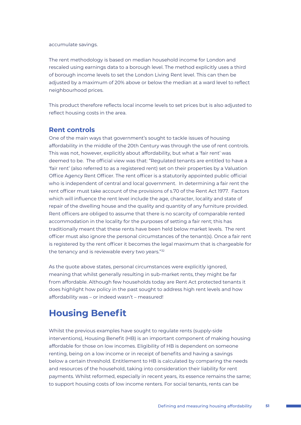#### accumulate savings.

The rent methodology is based on median household income for London and rescaled using earnings data to a borough level. The method explicitly uses a third of borough income levels to set the London Living Rent level. This can then be adjusted by a maximum of 20% above or below the median at a ward level to reflect neighbourhood prices.

This product therefore reflects local income levels to set prices but is also adjusted to reflect housing costs in the area.

## **Rent controls**

One of the main ways that government's sought to tackle issues of housing affordability in the middle of the 20th Century was through the use of rent controls. This was not, however, explicitly about affordability, but what a 'fair rent' was deemed to be. The official view was that: "Regulated tenants are entitled to have a 'fair rent' (also referred to as a registered rent) set on their properties by a Valuation Office Agency Rent Officer. The rent officer is a statutorily appointed public official who is independent of central and local government. In determining a fair rent the rent officer must take account of the provisions of s.70 of the Rent Act 1977. Factors which will influence the rent level include the age, character, locality and state of repair of the dwelling house and the quality and quantity of any furniture provided. Rent officers are obliged to assume that there is no scarcity of comparable rented accommodation in the locality for the purposes of setting a fair rent; this has traditionally meant that these rents have been held below market levels. The rent officer must also ignore the personal circumstances of the tenant(s). Once a fair rent is registered by the rent officer it becomes the legal maximum that is chargeable for the tenancy and is reviewable every two years."<sup>32</sup>

As the quote above states, personal circumstances were explicitly ignored, meaning that whilst generally resulting in sub-market rents, they might be far from affordable. Although few households today are Rent Act protected tenants it does highlight how policy in the past sought to address high rent levels and how affordability was – or indeed wasn't – measured!

## **Housing Benefit**

Whilst the previous examples have sought to regulate rents (supply-side interventions), Housing Benefit (HB) is an important component of making housing affordable for those on low incomes. Eligibility of HB is dependent on someone renting, being on a low income or in receipt of benefits and having a savings below a certain threshold. Entitlement to HB is calculated by comparing the needs and resources of the household, taking into consideration their liability for rent payments. Whilst reformed, especially in recent years, its essence remains the same; to support housing costs of low income renters. For social tenants, rents can be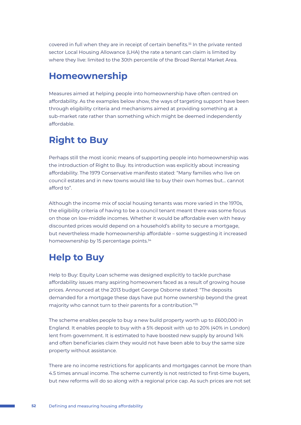covered in full when they are in receipt of certain benefits.<sup>33</sup> In the private rented sector Local Housing Allowance (LHA) the rate a tenant can claim is limited by where they live: limited to the 30th percentile of the Broad Rental Market Area.

## **Homeownership**

Measures aimed at helping people into homeownership have often centred on affordability. As the examples below show, the ways of targeting support have been through eligibility criteria and mechanisms aimed at providing something at a sub-market rate rather than something which might be deemed independently affordable.

# **Right to Buy**

Perhaps still the most iconic means of supporting people into homeownership was the introduction of Right to Buy. Its introduction was explicitly about increasing affordability. The 1979 Conservative manifesto stated: "Many families who live on council estates and in new towns would like to buy their own homes but… cannot afford to".

Although the income mix of social housing tenants was more varied in the 1970s, the eligibility criteria of having to be a council tenant meant there was some focus on those on low-middle incomes. Whether it would be affordable even with heavy discounted prices would depend on a household's ability to secure a mortgage, but nevertheless made homeownership affordable – some suggesting it increased homeownership by 15 percentage points.<sup>34</sup>

## **Help to Buy**

Help to Buy: Equity Loan scheme was designed explicitly to tackle purchase affordability issues many aspiring homeowners faced as a result of growing house prices. Announced at the 2013 budget George Osborne stated: "The deposits demanded for a mortgage these days have put home ownership beyond the great majority who cannot turn to their parents for a contribution."35

The scheme enables people to buy a new build property worth up to £600,000 in England. It enables people to buy with a 5% deposit with up to 20% (40% in London) lent from government. It is estimated to have boosted new supply by around 14% and often beneficiaries claim they would not have been able to buy the same size property without assistance.

There are no income restrictions for applicants and mortgages cannot be more than 4.5 times annual income. The scheme currently is not restricted to first-time buyers, but new reforms will do so along with a regional price cap. As such prices are not set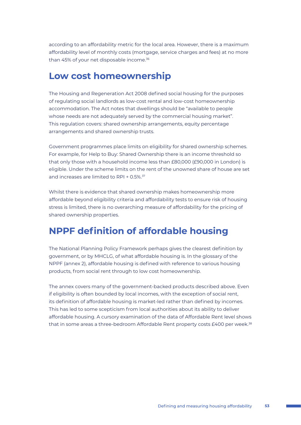according to an affordability metric for the local area. However, there is a maximum affordability level of monthly costs (mortgage, service charges and fees) at no more than 45% of your net disposable income.<sup>36</sup>

## **Low cost homeownership**

The Housing and Regeneration Act 2008 defined social housing for the purposes of regulating social landlords as low-cost rental and low-cost homeownership accommodation. The Act notes that dwellings should be "available to people whose needs are not adequately served by the commercial housing market". This regulation covers: shared ownership arrangements, equity percentage arrangements and shared ownership trusts.

Government programmes place limits on eligibility for shared ownership schemes. For example, for Help to Buy: Shared Ownership there is an income threshold so that only those with a household income less than £80,000 (£90,000 in London) is eligible. Under the scheme limits on the rent of the unowned share of house are set and increases are limited to RPI + 0.5%.<sup>37</sup>

Whilst there is evidence that shared ownership makes homeownership more affordable beyond eligibility criteria and affordability tests to ensure risk of housing stress is limited, there is no overarching measure of affordability for the pricing of shared ownership properties.

## **NPPF definition of affordable housing**

The National Planning Policy Framework perhaps gives the clearest definition by government, or by MHCLG, of what affordable housing is. In the glossary of the NPPF (annex 2), affordable housing is defined with reference to various housing products, from social rent through to low cost homeownership.

The annex covers many of the government-backed products described above. Even if eligibility is often bounded by local incomes, with the exception of social rent, its definition of affordable housing is market-led rather than defined by incomes. This has led to some scepticism from local authorities about its ability to deliver affordable housing. A cursory examination of the data of Affordable Rent level shows that in some areas a three-bedroom Affordable Rent property costs £400 per week.<sup>38</sup>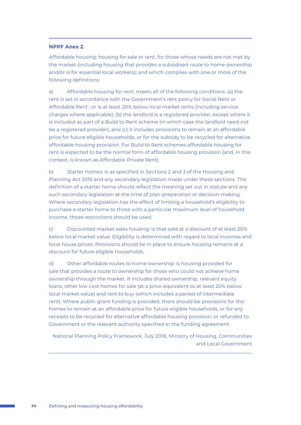#### **NPPF Anex 2**

Affordable housing: housing for sale or rent, for those whose needs are not met by the market (including housing that provides a subsidised route to home ownership and/or is for essential local workers); and which complies with one or more of the following definitions:

a) Affordable housing for rent: meets all of the following conditions: (a) the rent is set in accordance with the Government's rent policy for Social Rent or Affordable Rent , or is at least 20% below local market rents (including service charges where applicable); (b) the landlord is a registered provider, except where it is included as part of a Build to Rent scheme (in which case the landlord need not be a registered provider); and (c) it includes provisions to remain at an affordable price for future eligible households, or for the subsidy to be recycled for alternative affordable housing provision. For Build to Rent schemes affordable housing for rent is expected to be the normal form of affordable housing provision (and, in this context, is known as Affordable Private Rent).

b) Starter homes: is as specified in Sections 2 and 3 of the Housing and Planning Act 2016 and any secondary legislation made under these sections. The definition of a starter home should reflect the meaning set out in statute and any such secondary legislation at the time of plan-preparation or decision-making. Where secondary legislation has the effect of limiting a household's eligibility to purchase a starter home to those with a particular maximum level of household income, those restrictions should be used.

c) Discounted market sales housing: is that sold at a discount of at least 20% below local market value. Eligibility is determined with regard to local incomes and local house prices. Provisions should be in place to ensure housing remains at a discount for future eligible households.

d) Other affordable routes to home ownership: is housing provided for sale that provides a route to ownership for those who could not achieve home ownership through the market. It includes shared ownership, relevant equity loans, other low cost homes for sale (at a price equivalent to at least 20% below local market value) and rent to buy (which includes a period of intermediate rent). Where public grant funding is provided, there should be provisions for the homes to remain at an affordable price for future eligible households, or for any receipts to be recycled for alternative affordable housing provision, or refunded to Government or the relevant authority specified in the funding agreement.

National Planning Policy Framework, July 2018, Ministry of Housing, Communities and Local Government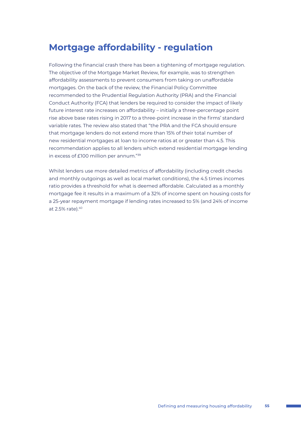## **Mortgage affordability - regulation**

Following the financial crash there has been a tightening of mortgage regulation. The objective of the Mortgage Market Review, for example, was to strengthen affordability assessments to prevent consumers from taking on unaffordable mortgages. On the back of the review, the Financial Policy Committee recommended to the Prudential Regulation Authority (PRA) and the Financial Conduct Authority (FCA) that lenders be required to consider the impact of likely future interest rate increases on affordability – initially a three-percentage point rise above base rates rising in 2017 to a three-point increase in the firms' standard variable rates. The review also stated that "the PRA and the FCA should ensure that mortgage lenders do not extend more than 15% of their total number of new residential mortgages at loan to income ratios at or greater than 4.5. This recommendation applies to all lenders which extend residential mortgage lending in excess of £100 million per annum."39

Whilst lenders use more detailed metrics of affordability (including credit checks and monthly outgoings as well as local market conditions), the 4.5 times incomes ratio provides a threshold for what is deemed affordable. Calculated as a monthly mortgage fee it results in a maximum of a 32% of income spent on housing costs for a 25-year repayment mortgage if lending rates increased to 5% (and 24% of income at 2.5% rate).40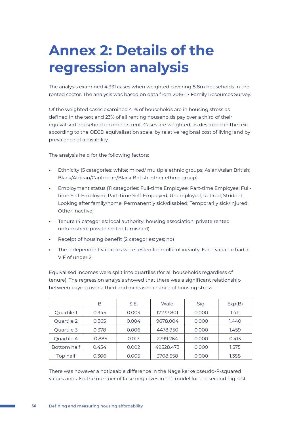# **Annex 2: Details of the regression analysis**

The analysis examined 4,931 cases when weighted covering 8.8m households in the rented sector. The analysis was based on data from 2016-17 Family Resources Survey.

Of the weighted cases examined 41% of households are in housing stress as defined in the text and 23% of all renting households pay over a third of their equivalised household income on rent. Cases are weighted, as described in the text, according to the OECD equivalisation scale, by relative regional cost of living; and by prevalence of a disability.

The analysis held for the following factors:

- **•** Ethnicity (5 categories: white; mixed/ multiple ethnic groups; Asian/Asian British; Black/African/Caribbean/Black British; other ethnic group)
- **•** Employment status (11 categories: Full-time Employee; Part-time Employee; Fulltime Self-Employed; Part-time Self-Employed; Unemployed; Retired; Student; Looking after family/home; Permanently sick/disabled; Temporarily sick/injured; Other Inactive)
- **•** Tenure (4 categories: local authority; housing association; private rented unfurnished; private rented furnished)
- **•** Receipt of housing benefit (2 categories: yes; no)
- **•** The independent variables were tested for multicollinearity. Each variable had a VIF of under 2.

Equivalised incomes were split into quartiles (for all households regardless of tenure). The regression analysis showed that there was a significant relationship between paying over a third and increased chance of housing stress.

|             | B        | S.E.  | Wald      | Sig.  | Exp(B) |
|-------------|----------|-------|-----------|-------|--------|
| Quartile 1  | 0.345    | 0.003 | 17237.801 | 0.000 | 1.411  |
| Quartile 2  | 0.365    | 0.004 | 9678.004  | 0.000 | 1.440  |
| Quartile 3  | 0.378    | 0.006 | 4478.950  | 0.000 | 1.459  |
| Quartile 4  | $-0.885$ | 0.017 | 2799.264  | 0.000 | 0.413  |
| Bottom half | 0.454    | 0.002 | 49528.473 | 0.000 | 1.575  |
| Top half    | 0.306    | 0.005 | 3708.658  | 0.000 | 1.358  |

There was however a noticeable difference in the Nagelkerke pseudo-R-squared values and also the number of false negatives in the model for the second highest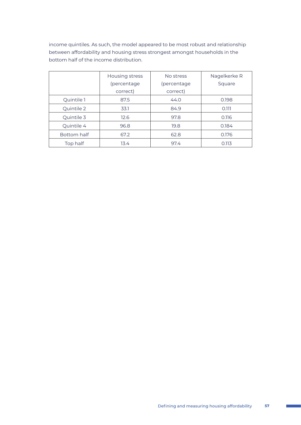income quintiles. As such, the model appeared to be most robust and relationship between affordability and housing stress strongest amongst households in the bottom half of the income distribution.

|             | Housing stress | No stress   | Nagelkerke R |
|-------------|----------------|-------------|--------------|
|             | (percentage    | (percentage | Square       |
|             | correct)       | correct)    |              |
| Quintile 1  | 87.5           | 44.0        | 0.198        |
| Quintile 2  | 33.1           | 84.9        | 0.111        |
| Quintile 3  | 12.6           | 97.8        | 0.116        |
| Quintile 4  | 96.8           | 19.8        | 0.184        |
| Bottom half | 67.2           | 62.8        | 0.176        |
| Top half    | 13.4           | 97.4        | 0.113        |

**College**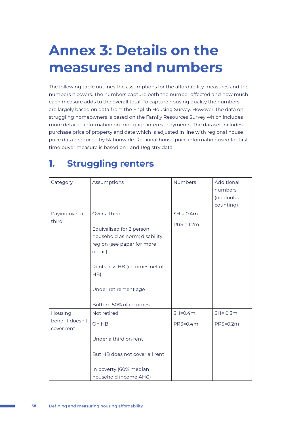# **Annex 3: Details on the measures and numbers**

The following table outlines the assumptions for the affordability measures and the numbers it covers. The numbers capture both the number affected and how much each measure adds to the overall total. To capture housing quality the numbers are largely based on data from the English Housing Survey. However, the data on struggling homeowners is based on the Family Resources Survey which includes more detailed information on mortgage interest payments. The dataset includes purchase price of property and date which is adjusted in line with regional house price data produced by Nationwide. Regional house price information used for first time buyer measure is based on Land Registry data.

# **1. Struggling renters**

| Category                      | Assumptions                                                                                                                                                                                                  | <b>Numbers</b>              | Additional<br>numbers<br>(no double<br>counting) |
|-------------------------------|--------------------------------------------------------------------------------------------------------------------------------------------------------------------------------------------------------------|-----------------------------|--------------------------------------------------|
| Paying over a<br>third        | Over a third<br>Equivalised for 2 person<br>household as norm; disability;<br>region (see paper for more<br>detail)<br>Rents less HB (incomes net of<br>HB)<br>Under retirement age<br>Bottom 50% of incomes | $SH = 0.4m$<br>$PRS = 1.2m$ |                                                  |
| Housing                       | Not retired                                                                                                                                                                                                  | $SH=0.4m$                   | $SH = 0.3m$                                      |
| benefit doesn't<br>cover rent | On HB                                                                                                                                                                                                        | <b>PRS=0.4m</b>             | <b>PRS=0.2m</b>                                  |
|                               | Under a third on rent                                                                                                                                                                                        |                             |                                                  |
|                               | But HB does not cover all rent                                                                                                                                                                               |                             |                                                  |
|                               | In poverty (60% median                                                                                                                                                                                       |                             |                                                  |
|                               | household income AHC)                                                                                                                                                                                        |                             |                                                  |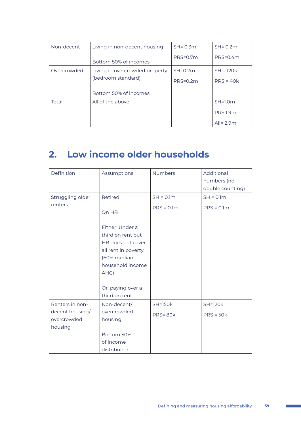| Non-decent  | Living in non-decent housing   | $SH = 0.3m$     | $SH = 0.2m$     |
|-------------|--------------------------------|-----------------|-----------------|
|             | Bottom 50% of incomes          | $PRS=0.7m$      | $PRS=0.4m$      |
| Overcrowded | Living in overcrowded property | $SH=0.2m$       | $SH = 120k$     |
|             | (bedroom standard)             | <b>PRS=0.2m</b> | $PRS = 40k$     |
|             | Bottom 50% of incomes          |                 |                 |
| Total       | All of the above               |                 | $SH=1.0m$       |
|             |                                |                 | <b>PRS 1.9m</b> |
|             |                                |                 | All= $2.9m$     |

# **2. Low income older households**

| Definition                                                   | Assumptions                                                                                                                                                                           | <b>Numbers</b>                   | Additional<br>numbers (no<br>double counting) |
|--------------------------------------------------------------|---------------------------------------------------------------------------------------------------------------------------------------------------------------------------------------|----------------------------------|-----------------------------------------------|
| Struggling older<br>renters                                  | Retired<br>On HB<br>Either: Under a<br>third on rent but<br>HB does not cover<br>all rent in poverty<br>(60% median<br>household income<br>AHC)<br>Or: paying over a<br>third on rent | $SH = 0.1m$<br>$PRS = 0.1m$      | $SH = 0.1m$<br>$PRS = 0.1m$                   |
| Renters in non-<br>decent housing/<br>overcrowded<br>housing | Non-decent/<br>overcrowded<br>housing<br>Bottom 50%<br>of income<br>distribution                                                                                                      | <b>SH=150k</b><br><b>PRS=80k</b> | <b>SH=120k</b><br>$PRS = 50k$                 |

**College**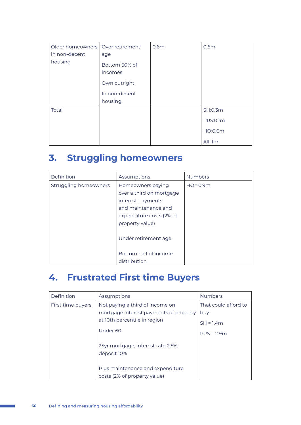| Older homeowners   Over retirement |               | 0.6 <sub>m</sub> | 0.6 <sub>m</sub> |
|------------------------------------|---------------|------------------|------------------|
| in non-decent                      | age           |                  |                  |
| housing                            | Bottom 50% of |                  |                  |
|                                    | incomes       |                  |                  |
|                                    | Own outright  |                  |                  |
|                                    | In non-decent |                  |                  |
|                                    | housing       |                  |                  |
| Total                              |               |                  | SH:0.3m          |
|                                    |               |                  | <b>PRS:0.1m</b>  |
|                                    |               |                  | HO:0.6m          |
|                                    |               |                  | All: 1m          |

# **3. Struggling homeowners**

| Definition            | Assumptions              | <b>Numbers</b> |
|-----------------------|--------------------------|----------------|
| Struggling homeowners | Homeowners paying        | $HO = 0.9m$    |
|                       | over a third on mortgage |                |
|                       | interest payments        |                |
|                       | and maintenance and      |                |
|                       | expenditure costs (2% of |                |
|                       | property value)          |                |
|                       | Under retirement age     |                |
|                       | Bottom half of income    |                |
|                       | distribution             |                |

# **4. Frustrated First time Buyers**

| Definition        | Assumptions                                                      | <b>Numbers</b>       |
|-------------------|------------------------------------------------------------------|----------------------|
| First time buyers | Not paying a third of income on                                  | That could afford to |
|                   | mortgage interest payments of property                           | buy                  |
|                   | at 10th percentile in region                                     | $SH = 1.4m$          |
|                   | Under 60                                                         | $PRS = 2.9m$         |
|                   | 25yr mortgage; interest rate 2.5%;<br>deposit 10%                |                      |
|                   | Plus maintenance and expenditure<br>costs (2% of property value) |                      |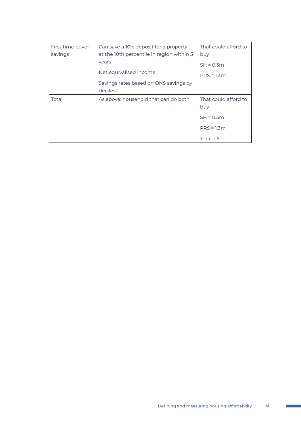| First time buyer | Can save a 10% deposit for a property     | That could afford to |
|------------------|-------------------------------------------|----------------------|
| savings          | at the 10th percentile in region within 5 | buy                  |
|                  | years                                     | $SH = 0.3m$          |
|                  | Net equivalised income                    | $PRS = 1.3m$         |
|                  | Savings rates based on ONS savings by     |                      |
|                  | deciles                                   |                      |
| Total            | As above: household that can do both.     | That could afford to |
|                  |                                           | buy                  |
|                  |                                           | $SH = 0.3m$          |
|                  |                                           | $PRS = 1.3m$         |
|                  |                                           | <b>Total: 1.6</b>    |

 $\sim 10$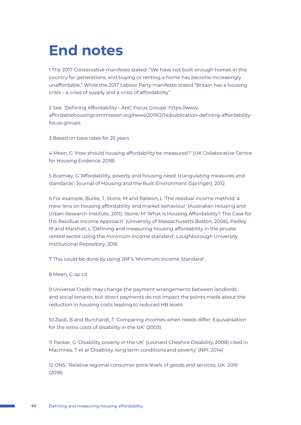# **End notes**

1 The 2017 Conservative manifesto stated: "We have not built enough homes in this country for generations, and buying or renting a home has become increasingly unaffordable." While the 2017 Labour Party manifesto stated "Britain has a housing crisis – a crisis of supply and a crisis of affordability"

2 See 'Defining Affordability - AHC Focus Groups' https://www. affordablehousingcommission.org/news/2019/2/14/publication-defining-affordabilityfocus-groups

3 Based on base rates for 25 years

4 Meen, G 'How should housing affordability be measured?' (UK Collaborative Centre for Housing Evidence, 2018)

5 Bramley, G 'Affordability, poverty and housing need: triangulating measures and standards', Journal of Housing and the Built Environment (Springer), 2012

6 For example, Burke, T, Stone, M and Ralston, L 'The residual income method: a mew lens on housing affordability and market behaviour' (Australian Housing and Urban Research Institute, 2011); Stone, M 'What is Housing Affordability? The Case for the Residual Income Approach' (University of Massachusetts Boston, 2006); Padley M and Marshall, L 'Defining and measuring housing affordability in the private rented sector using the minimum income standard', Loughborough University Institutional Repository, 2016

7 This could be done by using JRF's 'Minimum Income Standard'

8 Meen, G op cit

9 Universal Credit may change the payment arrangements between landlords and social tenants, but direct payments do not impact the points made about the reduction in housing costs leading to reduced HB levels

10 Zaidi, B and Burchardt, T 'Comparing incomes when needs differ: Equivalisation for the extra costs of disability in the UK' (2003)

11 Packar, G 'Disability poverty in the UK' (Leonard Cheshire Disability, 2008) cited in MacInnes, T et al 'Disability, long term conditions and poverty' (NPI, 2014)

12 ONS, 'Relative regional consumer price levels of goods and services, UK: 2016' (2018)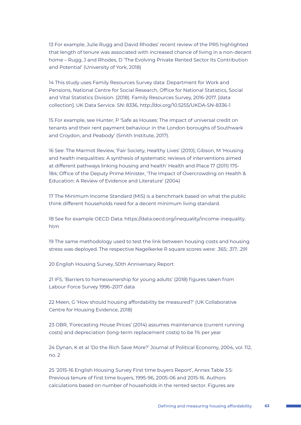13 For example, Julie Rugg and David Rhodes' recent review of the PRS highlighted that length of tenure was associated with increased chance of living in a non-decent home – Rugg, J and Rhodes, D 'The Evolving Private Rented Sector Its Contribution and Potential' (University of York, 2018)

14 This study uses Family Resources Survey data: Department for Work and Pensions, National Centre for Social Research, Office for National Statistics, Social and Vital Statistics Division. (2018). Family Resources Survey, 2016-2017. [data collection]. UK Data Service. SN: 8336, http://doi.org/10.5255/UKDA-SN-8336-1

15 For example, see Hunter, P 'Safe as Houses: The impact of universal credit on tenants and their rent payment behaviour in the London boroughs of Southwark and Croydon, and Peabody' (Smith Institute, 2017).

16 See: The Marmot Review, 'Fair Society, Healthy Lives' (2010); Gibson, M 'Housing and health inequalities: A synthesis of systematic reviews of interventions aimed at different pathways linking housing and health' Health and Place 17 (2011) 175- 184; Office of the Deputy Prime Minister, 'The Impact of Overcrowding on Health & Education: A Review of Evidence and Literature' (2004)

17 The Minimum Income Standard (MIS) is a benchmark based on what the public think different households need for a decent minimum living standard.

18 See for example OECD Data: https://data.oecd.org/inequality/income-inequality. htm

19 The same methodology used to test the link between housing costs and housing stress was deployed. The respective Nagelkerke R square scores were: .365; .317; .291

20 English Housing Survey, 50th Anniversary Report

21 IFS, 'Barriers to homeownership for young adults' (2018) figures taken from Labour Force Survey 1996–2017 data

22 Meen, G 'How should housing affordability be measured?' (UK Collaborative Centre for Housing Evidence, 2018)

23 OBR, 'Forecasting House Prices' (2014) assumes maintenance (current running costs) and depreciation (long-term replacement costs) to be 1% per year

24 Dynan, K et al 'Do the Rich Save More?' Journal of Political Economy, 2004, vol. 112, no. 2

25 '2015-16 English Housing Survey First time buyers Report', Annex Table 3.5: Previous tenure of first time buyers, 1995-96, 2005-06 and 2015-16. Authors calculations based on number of households in the rented sector. Figures are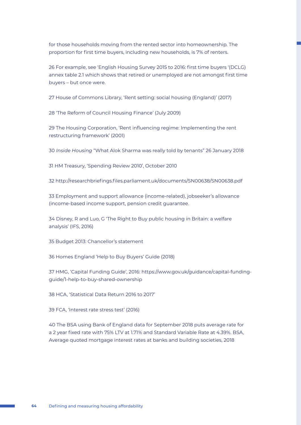for those households moving from the rented sector into homeownership. The proportion for first time buyers, including new households, is 7% of renters.

26 For example, see 'English Housing Survey 2015 to 2016: first time buyers '(DCLG) annex table 2.1 which shows that retired or unemployed are not amongst first time buyers – but once were.

27 House of Commons Library, 'Rent setting: social housing (England)' (2017)

28 'The Reform of Council Housing Finance' (July 2009)

29 The Housing Corporation, 'Rent influencing regime: Implementing the rent restructuring framework' (2001)

30 *Inside Housing* "What Alok Sharma was really told by tenants" 26 January 2018

31 HM Treasury, 'Spending Review 2010', October 2010

32 http://researchbriefings.files.parliament.uk/documents/SN00638/SN00638.pdf

33 Employment and support allowance (income-related), jobseeker's allowance (income-based income support, pension credit guarantee.

34 Disney, R and Luo, G 'The Right to Buy public housing in Britain: a welfare analysis' (IFS, 2016)

35 Budget 2013: Chancellor's statement

36 Homes England 'Help to Buy Buyers' Guide (2018)

37 HMG, 'Capital Funding Guide', 2016: https://www.gov.uk/guidance/capital-fundingguide/1-help-to-buy-shared-ownership

38 HCA, 'Statistical Data Return 2016 to 2017'

39 FCA, 'Interest rate stress test' (2016)

40 The BSA using Bank of England data for September 2018 puts average rate for a 2 year fixed rate with 75% LTV at 1.71% and Standard Variable Rate at 4.39%. BSA, Average quoted mortgage interest rates at banks and building societies, 2018